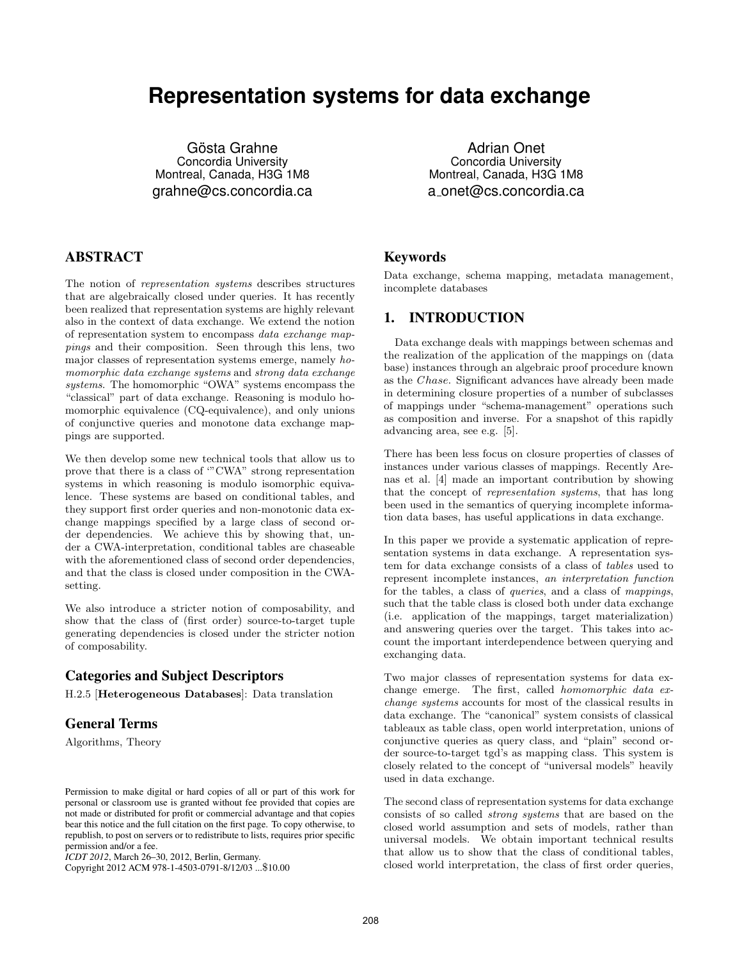# **Representation systems for data exchange**

Gösta Grahne Concordia University Montreal, Canada, H3G 1M8 grahne@cs.concordia.ca

# ABSTRACT

The notion of representation systems describes structures that are algebraically closed under queries. It has recently been realized that representation systems are highly relevant also in the context of data exchange. We extend the notion of representation system to encompass data exchange mappings and their composition. Seen through this lens, two major classes of representation systems emerge, namely homomorphic data exchange systems and strong data exchange systems. The homomorphic "OWA" systems encompass the "classical" part of data exchange. Reasoning is modulo homomorphic equivalence (CQ-equivalence), and only unions of conjunctive queries and monotone data exchange mappings are supported.

We then develop some new technical tools that allow us to prove that there is a class of '"CWA" strong representation systems in which reasoning is modulo isomorphic equivalence. These systems are based on conditional tables, and they support first order queries and non-monotonic data exchange mappings specified by a large class of second order dependencies. We achieve this by showing that, under a CWA-interpretation, conditional tables are chaseable with the aforementioned class of second order dependencies, and that the class is closed under composition in the CWAsetting.

We also introduce a stricter notion of composability, and show that the class of (first order) source-to-target tuple generating dependencies is closed under the stricter notion of composability.

# Categories and Subject Descriptors

H.2.5 [Heterogeneous Databases]: Data translation

# General Terms

Algorithms, Theory

Copyright 2012 ACM 978-1-4503-0791-8/12/03 ...\$10.00

Adrian Onet Concordia University Montreal, Canada, H3G 1M8 a onet@cs.concordia.ca

# Keywords

Data exchange, schema mapping, metadata management, incomplete databases

# 1. INTRODUCTION

Data exchange deals with mappings between schemas and the realization of the application of the mappings on (data base) instances through an algebraic proof procedure known as the Chase. Significant advances have already been made in determining closure properties of a number of subclasses of mappings under "schema-management" operations such as composition and inverse. For a snapshot of this rapidly advancing area, see e.g. [5].

There has been less focus on closure properties of classes of instances under various classes of mappings. Recently Arenas et al. [4] made an important contribution by showing that the concept of representation systems, that has long been used in the semantics of querying incomplete information data bases, has useful applications in data exchange.

In this paper we provide a systematic application of representation systems in data exchange. A representation system for data exchange consists of a class of tables used to represent incomplete instances, an interpretation function for the tables, a class of queries, and a class of mappings, such that the table class is closed both under data exchange (i.e. application of the mappings, target materialization) and answering queries over the target. This takes into account the important interdependence between querying and exchanging data.

Two major classes of representation systems for data exchange emerge. The first, called homomorphic data exchange systems accounts for most of the classical results in data exchange. The "canonical" system consists of classical tableaux as table class, open world interpretation, unions of conjunctive queries as query class, and "plain" second order source-to-target tgd's as mapping class. This system is closely related to the concept of "universal models" heavily used in data exchange.

The second class of representation systems for data exchange consists of so called strong systems that are based on the closed world assumption and sets of models, rather than universal models. We obtain important technical results that allow us to show that the class of conditional tables, closed world interpretation, the class of first order queries,

Permission to make digital or hard copies of all or part of this work for personal or classroom use is granted without fee provided that copies are not made or distributed for profit or commercial advantage and that copies bear this notice and the full citation on the first page. To copy otherwise, to republish, to post on servers or to redistribute to lists, requires prior specific permission and/or a fee.

*ICDT 2012*, March 26–30, 2012, Berlin, Germany.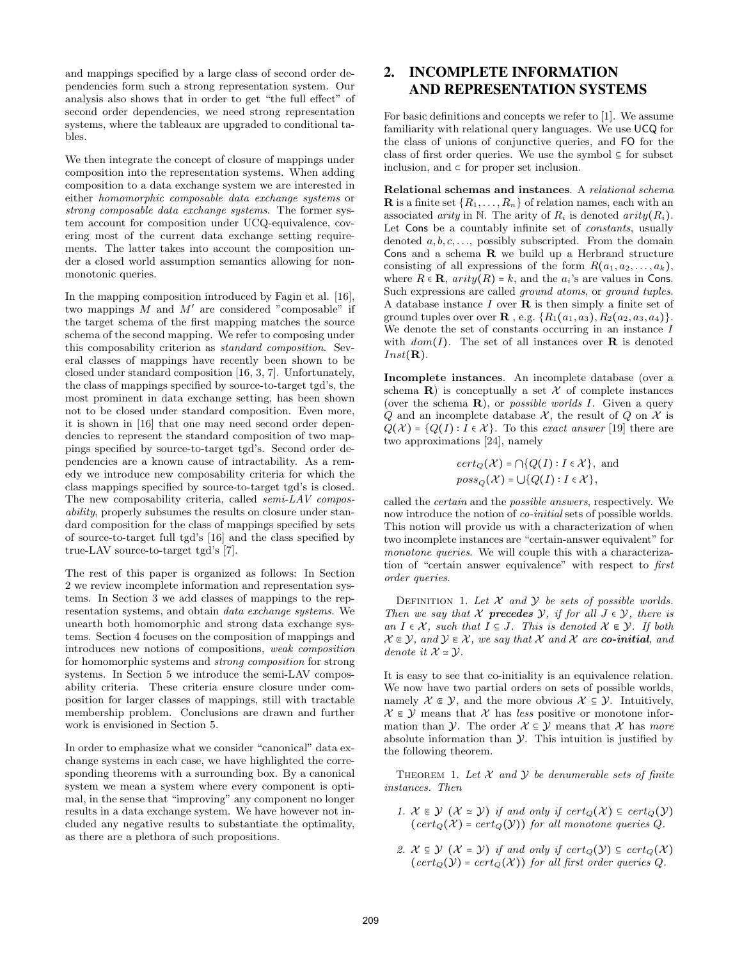and mappings specified by a large class of second order dependencies form such a strong representation system. Our analysis also shows that in order to get "the full effect" of second order dependencies, we need strong representation systems, where the tableaux are upgraded to conditional tables.

We then integrate the concept of closure of mappings under composition into the representation systems. When adding composition to a data exchange system we are interested in either homomorphic composable data exchange systems or strong composable data exchange systems. The former system account for composition under UCQ-equivalence, covering most of the current data exchange setting requirements. The latter takes into account the composition under a closed world assumption semantics allowing for nonmonotonic queries.

In the mapping composition introduced by Fagin et al. [16], two mappings  $M$  and  $M'$  are considered "composable" if the target schema of the first mapping matches the source schema of the second mapping. We refer to composing under this composability criterion as standard composition. Several classes of mappings have recently been shown to be closed under standard composition [16, 3, 7]. Unfortunately, the class of mappings specified by source-to-target tgd's, the most prominent in data exchange setting, has been shown not to be closed under standard composition. Even more, it is shown in [16] that one may need second order dependencies to represent the standard composition of two mappings specified by source-to-target tgd's. Second order dependencies are a known cause of intractability. As a remedy we introduce new composability criteria for which the class mappings specified by source-to-target tgd's is closed. The new composability criteria, called semi-LAV composability, properly subsumes the results on closure under standard composition for the class of mappings specified by sets of source-to-target full tgd's [16] and the class specified by true-LAV source-to-target tgd's [7].

The rest of this paper is organized as follows: In Section 2 we review incomplete information and representation systems. In Section 3 we add classes of mappings to the representation systems, and obtain data exchange systems. We unearth both homomorphic and strong data exchange systems. Section 4 focuses on the composition of mappings and introduces new notions of compositions, weak composition for homomorphic systems and strong composition for strong systems. In Section 5 we introduce the semi-LAV composability criteria. These criteria ensure closure under composition for larger classes of mappings, still with tractable membership problem. Conclusions are drawn and further work is envisioned in Section 5.

In order to emphasize what we consider "canonical" data exchange systems in each case, we have highlighted the corresponding theorems with a surrounding box. By a canonical system we mean a system where every component is optimal, in the sense that "improving" any component no longer results in a data exchange system. We have however not included any negative results to substantiate the optimality, as there are a plethora of such propositions.

# 2. INCOMPLETE INFORMATION AND REPRESENTATION SYSTEMS

For basic definitions and concepts we refer to [1]. We assume familiarity with relational query languages. We use UCQ for the class of unions of conjunctive queries, and FO for the class of first order queries. We use the symbol  $\subseteq$  for subset inclusion, and  $\subset$  for proper set inclusion.

Relational schemas and instances. A relational schema **R** is a finite set  $\{R_1, \ldots, R_n\}$  of relation names, each with an associated arity in N. The arity of  $R_i$  is denoted arity  $(R_i)$ . Let Cons be a countably infinite set of constants, usually denoted  $a, b, c, \ldots$ , possibly subscripted. From the domain Cons and a schema R we build up a Herbrand structure consisting of all expressions of the form  $R(a_1, a_2, \ldots, a_k)$ , where  $R \in \mathbf{R}$ ,  $arity(R) = k$ , and the  $a_i$ 's are values in Cons. Such expressions are called ground atoms, or ground tuples. A database instance  $I$  over  $\bf{R}$  is then simply a finite set of ground tuples over over **R**, e.g.  $\{R_1(a_1, a_3), R_2(a_2, a_3, a_4)\}.$ We denote the set of constants occurring in an instance I with  $dom(I)$ . The set of all instances over **R** is denoted  $Inst(\mathbf{R}).$ 

Incomplete instances. An incomplete database (over a schema  $\bf{R}$ ) is conceptually a set X of complete instances (over the schema  $\bf{R}$ ), or *possible worlds I*. Given a query Q and an incomplete database  $\mathcal{X}$ , the result of Q on  $\mathcal{X}$  is  $Q(\mathcal{X}) = \{Q(I) : I \in \mathcal{X}\}\$ . To this exact answer [19] there are two approximations [24], namely

$$
cert_Q(\mathcal{X}) = \bigcap \{ Q(I) : I \in \mathcal{X} \}, \text{ and}
$$

$$
poss_Q(\mathcal{X}) = \bigcup \{ Q(I) : I \in \mathcal{X} \},
$$

called the certain and the possible answers, respectively. We now introduce the notion of co-initial sets of possible worlds. This notion will provide us with a characterization of when two incomplete instances are "certain-answer equivalent" for monotone queries. We will couple this with a characterization of "certain answer equivalence" with respect to first order queries.

DEFINITION 1. Let  $X$  and  $Y$  be sets of possible worlds. Then we say that X **precedes**  $\mathcal{Y}$ , if for all  $J \in \mathcal{Y}$ , there is an  $I \in \mathcal{X}$ , such that  $I \subseteq J$ . This is denoted  $\mathcal{X} \subseteq \mathcal{Y}$ . If both  $X \in \mathcal{Y}$ , and  $\mathcal{Y} \in \mathcal{X}$ , we say that X and X are co-initial, and denote it  $\mathcal{X} \simeq \mathcal{Y}$ .

It is easy to see that co-initiality is an equivalence relation. We now have two partial orders on sets of possible worlds, namely  $X \in \mathcal{Y}$ , and the more obvious  $X \subseteq \mathcal{Y}$ . Intuitively,  $X \in \mathcal{Y}$  means that X has less positive or monotone information than Y. The order  $\mathcal{X} \subseteq \mathcal{Y}$  means that X has more absolute information than  $\mathcal Y$ . This intuition is justified by the following theorem.

THEOREM 1. Let  $X$  and  $Y$  be denumerable sets of finite instances. Then

- 1.  $\mathcal{X} \in \mathcal{Y}$   $(\mathcal{X} \simeq \mathcal{Y})$  if and only if  $cert_{\mathcal{Q}}(\mathcal{X}) \subseteq cert_{\mathcal{Q}}(\mathcal{Y})$  $(cert_Q(\mathcal{X}) = cert_Q(\mathcal{Y}))$  for all monotone queries Q.
- 2.  $\mathcal{X} \subseteq \mathcal{Y}$   $(\mathcal{X} = \mathcal{Y})$  if and only if  $cert_{\mathcal{Q}}(\mathcal{Y}) \subseteq cert_{\mathcal{Q}}(\mathcal{X})$  $(cert_{Q}(\mathcal{Y}) = cert_{Q}(\mathcal{X}))$  for all first order queries Q.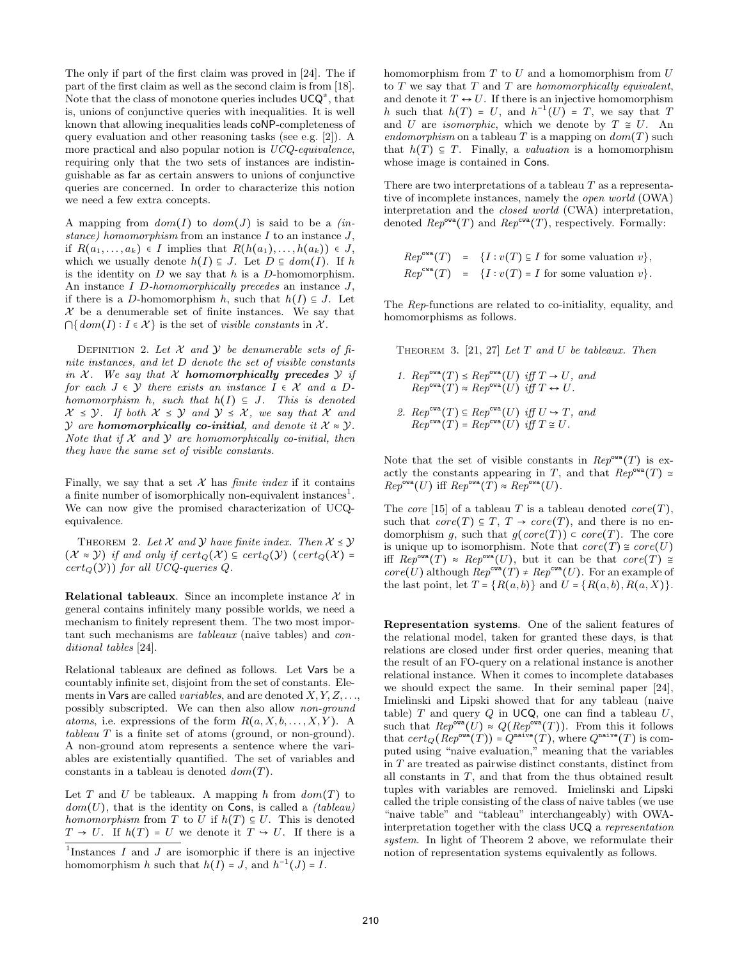The only if part of the first claim was proved in [24]. The if part of the first claim as well as the second claim is from [18]. Note that the class of monotone queries includes  $UCQ^*$ , that is, unions of conjunctive queries with inequalities. It is well known that allowing inequalities leads coNP-completeness of query evaluation and other reasoning tasks (see e.g. [2]). A more practical and also popular notion is UCQ-equivalence, requiring only that the two sets of instances are indistinguishable as far as certain answers to unions of conjunctive queries are concerned. In order to characterize this notion we need a few extra concepts.

A mapping from  $dom(I)$  to  $dom(J)$  is said to be a *(in*stance) homomorphism from an instance  $I$  to an instance  $J$ , if  $R(a_1, \ldots, a_k) \in I$  implies that  $R(h(a_1), \ldots, h(a_k)) \in J$ , which we usually denote  $h(I) \subseteq J$ . Let  $D \subseteq dom(I)$ . If h is the identity on  $D$  we say that  $h$  is a  $D$ -homomorphism. An instance I D-homomorphically precedes an instance J, if there is a D-homomorphism h, such that  $h(I) \subseteq J$ . Let  $\mathcal X$  be a denumerable set of finite instances. We say that  $\bigcap \{dom(I) : I \in \mathcal{X}\}\$ is the set of *visible constants* in X.

DEFINITION 2. Let  $X$  and  $Y$  be denumerable sets of finite instances, and let D denote the set of visible constants in  $X$ . We say that  $X$  homomorphically precedes  $Y$  if for each  $J \in \mathcal{Y}$  there exists an instance  $I \in \mathcal{X}$  and a Dhomomorphism h, such that  $h(I) \subseteq J$ . This is denoted  $\mathcal{X} \leq \mathcal{Y}$ . If both  $\mathcal{X} \leq \mathcal{Y}$  and  $\mathcal{Y} \leq \mathcal{X}$ , we say that  $\mathcal{X}$  and  $\mathcal Y$  are homomorphically co-initial, and denote it  $\mathcal X \approx \mathcal Y$ . Note that if  $X$  and  $Y$  are homomorphically co-initial, then they have the same set of visible constants.

Finally, we say that a set  $\mathcal X$  has *finite index* if it contains a finite number of isomorphically non-equivalent instances<sup>1</sup>. We can now give the promised characterization of UCQequivalence.

THEOREM 2. Let X and Y have finite index. Then  $X \leq Y$  $(\mathcal{X} \approx \mathcal{Y})$  if and only if  $cert_{\mathcal{Q}}(\mathcal{X}) \subseteq cert_{\mathcal{Q}}(\mathcal{Y})$  ( $cert_{\mathcal{Q}}(\mathcal{X}) =$  $cert_{Q}(Y)$  for all UCQ-queries Q.

**Relational tableaux.** Since an incomplete instance  $\mathcal{X}$  in general contains infinitely many possible worlds, we need a mechanism to finitely represent them. The two most important such mechanisms are tableaux (naive tables) and conditional tables [24].

Relational tableaux are defined as follows. Let Vars be a countably infinite set, disjoint from the set of constants. Elements in Vars are called *variables*, and are denoted  $X, Y, Z, \ldots$ possibly subscripted. We can then also allow non-ground atoms, i.e. expressions of the form  $R(a, X, b, \ldots, X, Y)$ . A tableau T is a finite set of atoms (ground, or non-ground). A non-ground atom represents a sentence where the variables are existentially quantified. The set of variables and constants in a tableau is denoted  $dom(T)$ .

Let T and U be tableaux. A mapping h from  $dom(T)$  to  $dom(U)$ , that is the identity on Cons, is called a *(tableau)* homomorphism from T to U if  $h(T) \subseteq U$ . This is denoted  $T \to U$ . If  $h(T) = U$  we denote it  $T \to U$ . If there is a

homomorphism from  $T$  to  $U$  and a homomorphism from  $U$ to  $T$  we say that  $T$  and  $T$  are homomorphically equivalent, and denote it  $T \leftrightarrow U$ . If there is an injective homomorphism h such that  $h(T) = U$ , and  $h^{-1}(U) = T$ , we say that T and U are *isomorphic*, which we denote by  $T \cong U$ . An endomorphism on a tableau T is a mapping on  $dom(T)$  such that  $h(T) \subseteq T$ . Finally, a *valuation* is a homomorphism whose image is contained in Cons.

There are two interpretations of a tableau  $T$  as a representative of incomplete instances, namely the open world (OWA) interpretation and the closed world (CWA) interpretation, denoted  $\text{Rep}^{\text{ova}}(T)$  and  $\text{Rep}^{\text{eva}}(T)$ , respectively. Formally:

$$
Rep^{\text{ova}}(T) = \{I : v(T) \subseteq I \text{ for some valuation } v\},
$$
  
 $Rep^{\text{ova}}(T) = \{I : v(T) = I \text{ for some valuation } v\}.$ 

The Rep-functions are related to co-initiality, equality, and homomorphisms as follows.

THEOREM 3. [21, 27] Let  $T$  and  $U$  be tableaux. Then

1.  $Rep^{\text{ova}}(T) \preceq Rep^{\text{ova}}(U)$  iff  $T \rightarrow U$ , and  $Rep^{\text{ova}}(T) \approx Rep^{\text{ova}}(U)$  iff  $T \leftrightarrow U$ . 2.  $Rep^{cwa}(T) \subseteq Rep^{cwa}(U)$  iff  $U \to T$ , and  $Rep^{cwa}(T) = Rep^{cwa}(U)$  iff  $T \cong U$ .

Note that the set of visible constants in  $\mathbb{R}e p^{\text{ova}}(T)$  is exactly the constants appearing in T, and that  $Rep^{\text{ova}}(T) \simeq$  $Rep^{\text{ova}}(U)$  iff  $Rep^{\text{ova}}(T) \approx Rep^{\text{ova}}(U)$ .

The core [15] of a tableau T is a tableau denoted core  $(T)$ , such that  $core(T) \subseteq T$ ,  $T \rightarrow core(T)$ , and there is no endomorphism q, such that  $q(\text{core}(T)) \subset \text{core}(T)$ . The core is unique up to isomorphism. Note that  $core(T) \cong core(U)$ iff  $Rep^{\text{ova}}(T) \approx Rep^{\text{ova}}(U)$ , but it can be that  $core(T) \approx$  $core(U)$  although  $Rep^{cwa}(T) \neq Rep^{cwa}(U)$ . For an example of the last point, let  $T = \{R(a, b)\}\$ and  $U = \{R(a, b), R(a, X)\}\$ .

Representation systems. One of the salient features of the relational model, taken for granted these days, is that relations are closed under first order queries, meaning that the result of an FO-query on a relational instance is another relational instance. When it comes to incomplete databases we should expect the same. In their seminal paper [24], Imielinski and Lipski showed that for any tableau (naive table)  $T$  and query  $Q$  in UCQ, one can find a tableau  $U$ , such that  $Rep^{\text{ova}}(U) \approx Q(Rep^{\text{ova}}(T))$ . From this it follows that  $cert_Q(Rep<sup>ova</sup>(T)) = Q<sup>naive</sup>(T)$ , where  $Q<sup>naive</sup>(T)$  is computed using "naive evaluation," meaning that the variables in T are treated as pairwise distinct constants, distinct from all constants in T, and that from the thus obtained result tuples with variables are removed. Imielinski and Lipski called the triple consisting of the class of naive tables (we use "naive table" and "tableau" interchangeably) with OWAinterpretation together with the class UCQ a representation system. In light of Theorem 2 above, we reformulate their notion of representation systems equivalently as follows.

<sup>&</sup>lt;sup>1</sup>Instances  $I$  and  $J$  are isomorphic if there is an injective homomorphism h such that  $h(I) = J$ , and  $h^{-1}(J) = I$ .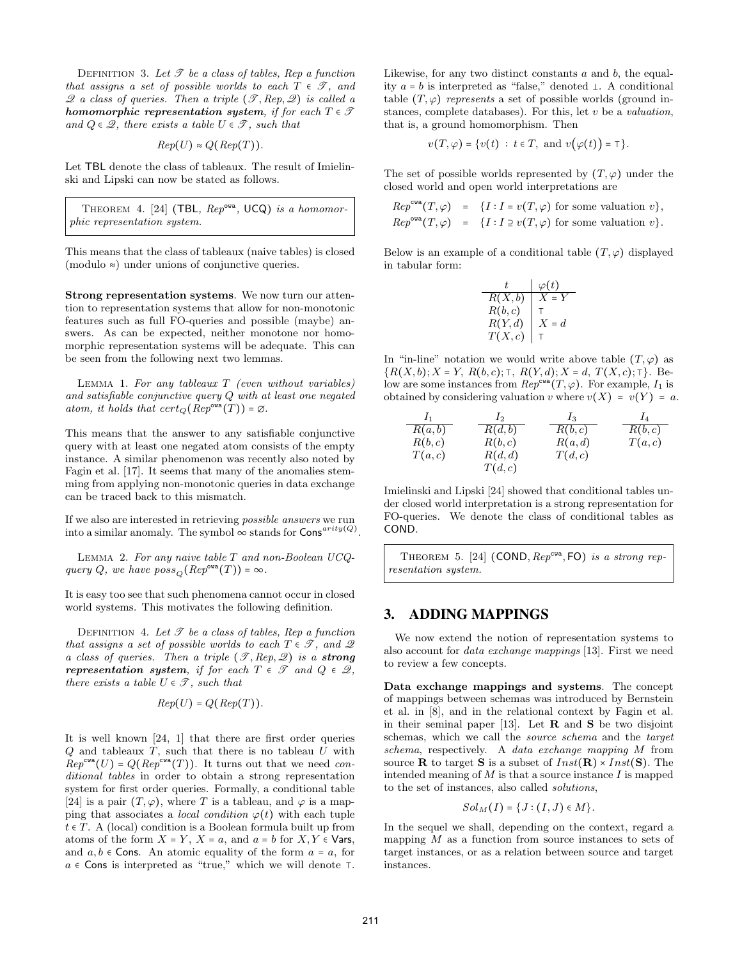DEFINITION 3. Let  $\mathscr T$  be a class of tables, Rep a function that assigns a set of possible worlds to each  $T \in \mathcal{T}$ , and  $\mathscr Q$  a class of queries. Then a triple  $(\mathscr T, Rep, \mathscr Q)$  is called a homomorphic representation system, if for each  $T \in \mathcal{T}$ and  $Q \in \mathcal{Q}$ , there exists a table  $U \in \mathcal{T}$ , such that

$$
Rep(U) \approx Q(\mathbb{R}ep(T)).
$$

Let TBL denote the class of tableaux. The result of Imielinski and Lipski can now be stated as follows.

THEOREM 4. [24] (TBL,  $Rep^{\text{ova}}$ , UCQ) is a homomorphic representation system.

This means that the class of tableaux (naive tables) is closed (modulo ≈) under unions of conjunctive queries.

Strong representation systems. We now turn our attention to representation systems that allow for non-monotonic features such as full FO-queries and possible (maybe) answers. As can be expected, neither monotone nor homomorphic representation systems will be adequate. This can be seen from the following next two lemmas.

LEMMA 1. For any tableaux  $T$  (even without variables) and satisfiable conjunctive query Q with at least one negated atom, it holds that  $cert_{\mathcal{O}}(Rep^{\text{ova}}(T)) = \emptyset$ .

This means that the answer to any satisfiable conjunctive query with at least one negated atom consists of the empty instance. A similar phenomenon was recently also noted by Fagin et al. [17]. It seems that many of the anomalies stemming from applying non-monotonic queries in data exchange can be traced back to this mismatch.

If we also are interested in retrieving possible answers we run into a similar anomaly. The symbol  $\infty$  stands for Cons<sup>arity(Q)</sup>.

LEMMA 2. For any naive table  $T$  and non-Boolean UCQquery Q, we have  $poss_{\mathcal{O}}(Rep^{\text{ova}}(T)) = \infty$ .

It is easy too see that such phenomena cannot occur in closed world systems. This motivates the following definition.

DEFINITION 4. Let  $\mathscr T$  be a class of tables, Rep a function that assigns a set of possible worlds to each  $T \in \mathcal{T}$ , and  $\mathcal{Q}$ a class of queries. Then a triple  $(\mathscr{T}, Rep, \mathscr{Q})$  is a strong representation system, if for each  $T \in \mathcal{T}$  and  $Q \in \mathcal{Q}$ , there exists a table  $U \in \mathcal{T}$ , such that

$$
Rep(U) = Q(\mathop{Rep}(T)).
$$

It is well known [24, 1] that there are first order queries  $Q$  and tableaux  $T$ , such that there is no tableau  $U$  with  $Rep^{cwa}(U) = Q(Rep^{cwa}(T)).$  It turns out that we need conditional tables in order to obtain a strong representation system for first order queries. Formally, a conditional table [24] is a pair  $(T, \varphi)$ , where T is a tableau, and  $\varphi$  is a mapping that associates a *local condition*  $\varphi(t)$  with each tuple  $t \in T$ . A (local) condition is a Boolean formula built up from atoms of the form  $X = Y$ ,  $X = a$ , and  $a = b$  for  $X, Y \in \mathsf{Vars}$ , and  $a, b \in \text{Cons.}$  An atomic equality of the form  $a = a$ , for  $a \in \mathsf{Cons}$  is interpreted as "true," which we will denote  $\top$ . Likewise, for any two distinct constants  $a$  and  $b$ , the equality  $a = b$  is interpreted as "false," denoted  $\perp$ . A conditional table  $(T, \varphi)$  represents a set of possible worlds (ground instances, complete databases). For this, let  $v$  be a *valuation*, that is, a ground homomorphism. Then

$$
v(T, \varphi) = \{v(t) : t \in T, \text{ and } v(\varphi(t)) = \top\}.
$$

The set of possible worlds represented by  $(T, \varphi)$  under the closed world and open world interpretations are

$$
Rep^{\text{cva}}(T, \varphi) = \{ I : I = v(T, \varphi) \text{ for some valuation } v \},
$$
  

$$
Rep^{\text{cva}}(T, \varphi) = \{ I : I \supseteq v(T, \varphi) \text{ for some valuation } v \}.
$$

Below is an example of a conditional table  $(T, \varphi)$  displayed in tabular form:

|         | $\varphi(t)$ |
|---------|--------------|
| R(X,b)  | $X = Y$      |
| R(b, c) |              |
| R(Y,d)  | $X = d$      |
| T(X,c)  |              |

In "in-line" notation we would write above table  $(T, \varphi)$  as  ${R(X, b); X = Y, R(b, c); \tau, R(Y, d); X = d, T(X, c); \tau}.$  Below are some instances from  $Rep^{\text{cwa}}(T, \varphi)$ . For example,  $I_1$  is obtained by considering valuation v where  $v(X) = v(Y) = a$ .

$$
\begin{array}{ccc}\nI_1 & I_2 & I_3 & I_4 \\
\hline\nR(a,b) & R(d,b) & R(b,c) & R(b,c) \\
R(b,c) & R(b,c) & R(a,d) & T(a,c) \\
T(a,c) & R(d,d) & T(d,c) & \\
T(d,c)\n\end{array}
$$

Imielinski and Lipski [24] showed that conditional tables under closed world interpretation is a strong representation for FO-queries. We denote the class of conditional tables as COND.

THEOREM 5. [24]  $(COND, Rep^{cwa}, FO)$  is a strong representation system.

# 3. ADDING MAPPINGS

We now extend the notion of representation systems to also account for data exchange mappings [13]. First we need to review a few concepts.

Data exchange mappings and systems. The concept of mappings between schemas was introduced by Bernstein et al. in [8], and in the relational context by Fagin et al. in their seminal paper [13]. Let  $\bf{R}$  and  $\bf{S}$  be two disjoint schemas, which we call the *source schema* and the *target* schema, respectively. A data exchange mapping M from source **R** to target **S** is a subset of  $Inst(\mathbf{R}) \times Inst(\mathbf{S})$ . The intended meaning of  $M$  is that a source instance  $I$  is mapped to the set of instances, also called solutions,

$$
SolM(I) = \{J : (I, J) \in M\}.
$$

In the sequel we shall, depending on the context, regard a mapping  $M$  as a function from source instances to sets of target instances, or as a relation between source and target instances.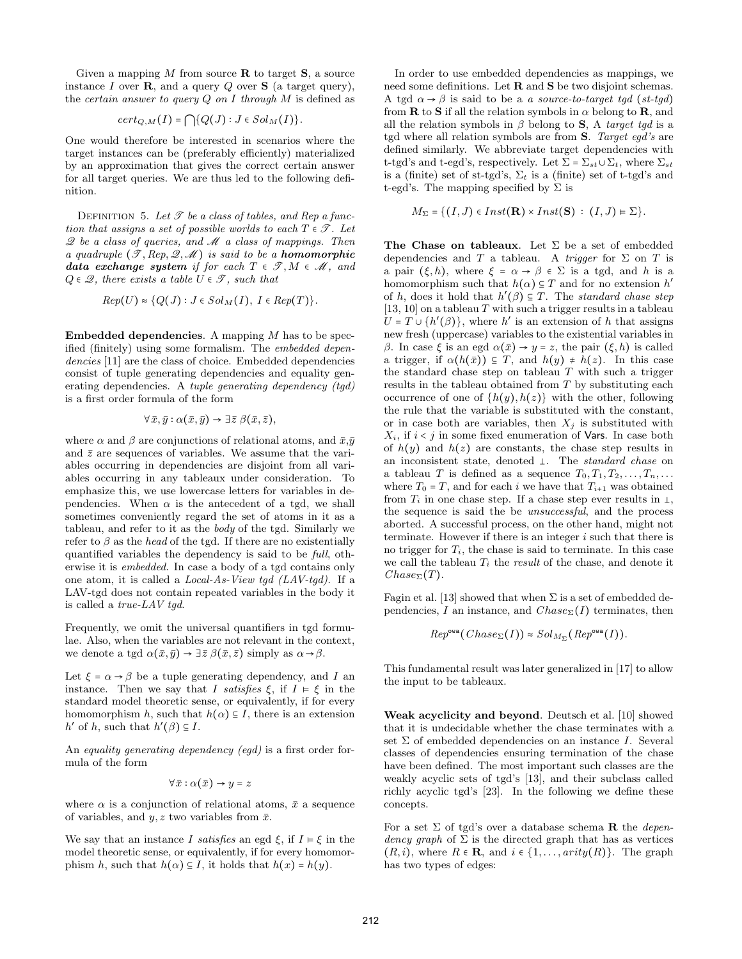Given a mapping  $M$  from source  $\bf{R}$  to target  $\bf{S}$ , a source instance I over  $\bf{R}$ , and a query Q over  $\bf{S}$  (a target query), the *certain answer to query Q on I through*  $M$  is defined as

$$
cert_{Q,M}(I) = \bigcap \{Q(J) : J \in Sol_M(I)\}.
$$

One would therefore be interested in scenarios where the target instances can be (preferably efficiently) materialized by an approximation that gives the correct certain answer for all target queries. We are thus led to the following definition.

DEFINITION 5. Let  $\mathscr T$  be a class of tables, and Rep a function that assigns a set of possible worlds to each  $T \in \mathcal{T}$ . Let  $\mathscr Q$  be a class of queries, and  $\mathscr M$  a class of mappings. Then a quadruple  $(\mathscr{T}, Rep, \mathscr{Q}, \mathscr{M})$  is said to be a **homomorphic** data exchange system if for each  $T \in \mathcal{T}, M \in \mathcal{M}$ , and  $Q \in \mathcal{Q}$ , there exists a table  $U \in \mathcal{T}$ , such that

$$
Rep(U) \approx \{Q(J) : J \in Sol_M(I), I \in Rep(T)\}.
$$

**Embedded dependencies.** A mapping  $M$  has to be specified (finitely) using some formalism. The embedded dependencies [11] are the class of choice. Embedded dependencies consist of tuple generating dependencies and equality generating dependencies. A tuple generating dependency (tgd) is a first order formula of the form

$$
\forall \bar{x}, \bar{y} : \alpha(\bar{x}, \bar{y}) \rightarrow \exists \bar{z} \ \beta(\bar{x}, \bar{z}),
$$

where  $\alpha$  and  $\beta$  are conjunctions of relational atoms, and  $\bar{x}, \bar{y}$ and  $\bar{z}$  are sequences of variables. We assume that the variables occurring in dependencies are disjoint from all variables occurring in any tableaux under consideration. To emphasize this, we use lowercase letters for variables in dependencies. When  $\alpha$  is the antecedent of a tgd, we shall sometimes conveniently regard the set of atoms in it as a tableau, and refer to it as the body of the tgd. Similarly we refer to  $\beta$  as the head of the tgd. If there are no existentially quantified variables the dependency is said to be full, otherwise it is embedded. In case a body of a tgd contains only one atom, it is called a Local-As-View tgd (LAV-tgd). If a LAV-tgd does not contain repeated variables in the body it is called a true-LAV tgd.

Frequently, we omit the universal quantifiers in tgd formulae. Also, when the variables are not relevant in the context, we denote a tgd  $\alpha(\bar{x}, \bar{y}) \rightarrow \exists \bar{z} \beta(\bar{x}, \bar{z})$  simply as  $\alpha \rightarrow \beta$ .

Let  $\xi = \alpha \rightarrow \beta$  be a tuple generating dependency, and I an instance. Then we say that I satisfies  $\xi$ , if  $I \vDash \xi$  in the standard model theoretic sense, or equivalently, if for every homomorphism h, such that  $h(\alpha) \subseteq I$ , there is an extension  $h'$  of h, such that  $h'(\beta) \subseteq I$ .

An equality generating dependency (egd) is a first order formula of the form

$$
\forall \bar{x} : \alpha(\bar{x}) \rightarrow y = z
$$

where  $\alpha$  is a conjunction of relational atoms,  $\bar{x}$  a sequence of variables, and  $y, z$  two variables from  $\bar{x}$ .

We say that an instance I satisfies an egd  $\xi$ , if  $I \models \xi$  in the model theoretic sense, or equivalently, if for every homomorphism h, such that  $h(\alpha) \subseteq I$ , it holds that  $h(x) = h(y)$ .

In order to use embedded dependencies as mappings, we need some definitions. Let R and S be two disjoint schemas. A tgd  $\alpha \rightarrow \beta$  is said to be a a source-to-target tgd (st-tgd) from **R** to S if all the relation symbols in  $\alpha$  belong to **R**, and all the relation symbols in  $\beta$  belong to S, A target tgd is a tgd where all relation symbols are from S. Target egd's are defined similarly. We abbreviate target dependencies with t-tgd's and t-egd's, respectively. Let  $\Sigma = \Sigma_{st} \cup \Sigma_t$ , where  $\Sigma_{st}$ is a (finite) set of st-tgd's,  $\Sigma_t$  is a (finite) set of t-tgd's and t-egd's. The mapping specified by  $\Sigma$  is

$$
M_{\Sigma} = \{ (I, J) \in Inst(\mathbf{R}) \times Inst(\mathbf{S}) : (I, J) \in \Sigma \}.
$$

The Chase on tableaux. Let  $\Sigma$  be a set of embedded dependencies and T a tableau. A *trigger* for  $\Sigma$  on T is a pair  $(\xi, h)$ , where  $\xi = \alpha \rightarrow \beta \in \Sigma$  is a tgd, and h is a homomorphism such that  $h(\alpha) \subseteq T$  and for no extension  $h'$ of h, does it hold that  $h'(\beta) \subseteq T$ . The standard chase step  $[13, 10]$  on a tableau T with such a trigger results in a tableau  $U = T \cup \{h'(\beta)\}\$ , where h' is an extension of h that assigns new fresh (uppercase) variables to the existential variables in β. In case  $\xi$  is an egd  $\alpha(\bar{x}) \rightarrow y = z$ , the pair  $(\xi, h)$  is called a trigger, if  $\alpha(h(\bar{x})) \subseteq T$ , and  $h(y) \neq h(z)$ . In this case the standard chase step on tableau  $T$  with such a trigger results in the tableau obtained from  $T$  by substituting each occurrence of one of  $\{h(y), h(z)\}\$  with the other, following the rule that the variable is substituted with the constant, or in case both are variables, then  $X_j$  is substituted with  $X_i$ , if  $i < j$  in some fixed enumeration of **Vars**. In case both of  $h(y)$  and  $h(z)$  are constants, the chase step results in an inconsistent state, denoted  $\bot$ . The standard chase on a tableau T is defined as a sequence  $T_0, T_1, T_2, \ldots, T_n, \ldots$ where  $T_0 = T$ , and for each i we have that  $T_{i+1}$  was obtained from  $T_i$  in one chase step. If a chase step ever results in  $\perp$ , the sequence is said the be unsuccessful, and the process aborted. A successful process, on the other hand, might not terminate. However if there is an integer i such that there is no trigger for  $T_i$ , the chase is said to terminate. In this case we call the tableau  $T_i$  the *result* of the chase, and denote it  $Chase_{\Sigma}(T)$ .

Fagin et al. [13] showed that when  $\Sigma$  is a set of embedded dependencies, I an instance, and  $Chase_{\Sigma}(I)$  terminates, then

$$
Rep^{\text{ova}}(Chase_{\Sigma}(I)) \approx Sol_{M_{\Sigma}}(Rep^{\text{ova}}(I)).
$$

This fundamental result was later generalized in [17] to allow the input to be tableaux.

Weak acyclicity and beyond. Deutsch et al. [10] showed that it is undecidable whether the chase terminates with a set  $\Sigma$  of embedded dependencies on an instance I. Several classes of dependencies ensuring termination of the chase have been defined. The most important such classes are the weakly acyclic sets of tgd's [13], and their subclass called richly acyclic tgd's [23]. In the following we define these concepts.

For a set  $\Sigma$  of tgd's over a database schema **R** the *depen*dency graph of  $\Sigma$  is the directed graph that has as vertices  $(R, i)$ , where  $R \in \mathbf{R}$ , and  $i \in \{1, ..., arity(R)\}$ . The graph has two types of edges: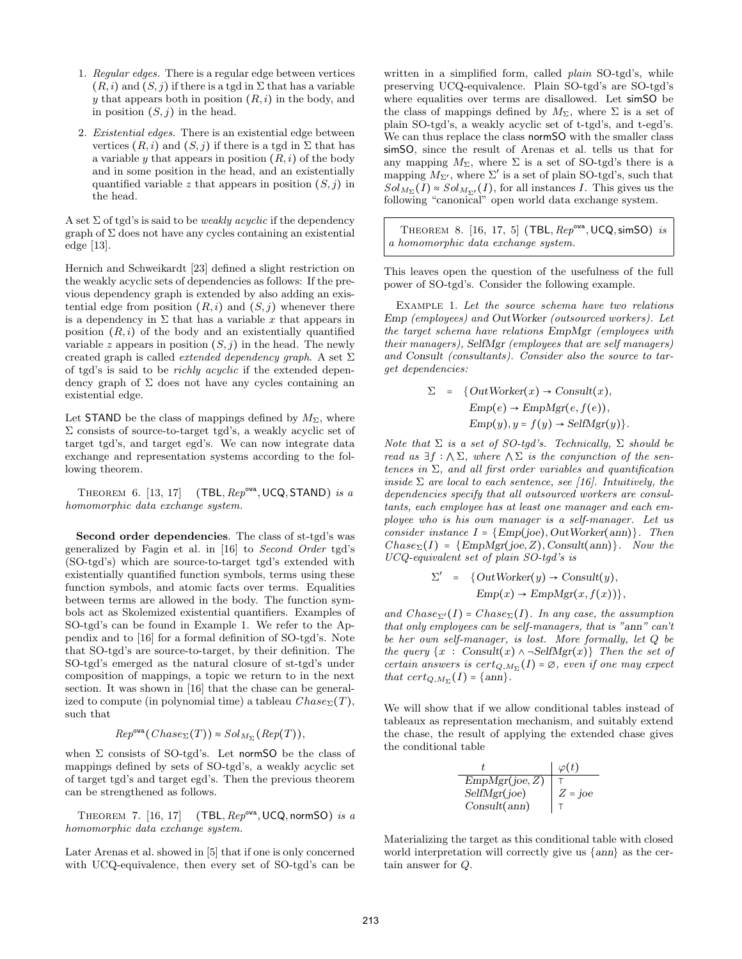- 1. Regular edges. There is a regular edge between vertices  $(R, i)$  and  $(S, j)$  if there is a tgd in  $\Sigma$  that has a variable y that appears both in position  $(R, i)$  in the body, and in position  $(S, j)$  in the head.
- 2. Existential edges. There is an existential edge between vertices  $(R, i)$  and  $(S, j)$  if there is a tgd in  $\Sigma$  that has a variable y that appears in position  $(R, i)$  of the body and in some position in the head, and an existentially quantified variable z that appears in position  $(S, j)$  in the head.

A set  $\Sigma$  of tgd's is said to be *weakly acyclic* if the dependency graph of  $\Sigma$  does not have any cycles containing an existential edge [13].

Hernich and Schweikardt [23] defined a slight restriction on the weakly acyclic sets of dependencies as follows: If the previous dependency graph is extended by also adding an existential edge from position  $(R, i)$  and  $(S, j)$  whenever there is a dependency in  $\Sigma$  that has a variable x that appears in position  $(R, i)$  of the body and an existentially quantified variable z appears in position  $(S, j)$  in the head. The newly created graph is called *extended dependency graph*. A set  $\Sigma$ of tgd's is said to be richly acyclic if the extended dependency graph of  $\Sigma$  does not have any cycles containing an existential edge.

Let STAND be the class of mappings defined by  $M_{\Sigma}$ , where  $\Sigma$  consists of source-to-target tgd's, a weakly acyclic set of target tgd's, and target egd's. We can now integrate data exchange and representation systems according to the following theorem.

THEOREM 6.  $[13, 17]$  (TBL,  $\text{Rep}^{\text{ova}}$ , UCQ, STAND) is a homomorphic data exchange system.

Second order dependencies. The class of st-tgd's was generalized by Fagin et al. in [16] to Second Order tgd's (SO-tgd's) which are source-to-target tgd's extended with existentially quantified function symbols, terms using these function symbols, and atomic facts over terms. Equalities between terms are allowed in the body. The function symbols act as Skolemized existential quantifiers. Examples of SO-tgd's can be found in Example 1. We refer to the Appendix and to [16] for a formal definition of SO-tgd's. Note that SO-tgd's are source-to-target, by their definition. The SO-tgd's emerged as the natural closure of st-tgd's under composition of mappings, a topic we return to in the next section. It was shown in [16] that the chase can be generalized to compute (in polynomial time) a tableau  $Chase_{\Sigma}(T)$ , such that

$$
Rep^{owa}(Chase_{\Sigma}(T)) \approx Sol_{M_{\Sigma}}(Rep(T)),
$$

when  $\Sigma$  consists of SO-tgd's. Let normSO be the class of mappings defined by sets of SO-tgd's, a weakly acyclic set of target tgd's and target egd's. Then the previous theorem can be strengthened as follows.

THEOREM 7.  $[16, 17]$  (TBL,  $\text{Rep}^{\text{ova}}$ , UCQ, normSO) is a homomorphic data exchange system.

Later Arenas et al. showed in [5] that if one is only concerned with UCQ-equivalence, then every set of SO-tgd's can be

written in a simplified form, called *plain* SO-tgd's, while preserving UCQ-equivalence. Plain SO-tgd's are SO-tgd's where equalities over terms are disallowed. Let simSO be the class of mappings defined by  $M_{\Sigma}$ , where  $\Sigma$  is a set of plain SO-tgd's, a weakly acyclic set of t-tgd's, and t-egd's. We can thus replace the class normSO with the smaller class simSO, since the result of Arenas et al. tells us that for any mapping  $M_{\Sigma}$ , where  $\Sigma$  is a set of SO-tgd's there is a mapping  $M_{\Sigma'}$ , where  $\Sigma'$  is a set of plain SO-tgd's, such that  $Sol_{M_{\Sigma}}(I) \approx Sol_{M_{\Sigma'}}(I)$ , for all instances I. This gives us the following "canonical" open world data exchange system.

THEOREM 8. [16, 17, 5] (TBL,  $Rep^{owa}$ , UCQ, simSO) is a homomorphic data exchange system.

This leaves open the question of the usefulness of the full power of SO-tgd's. Consider the following example.

Example 1. Let the source schema have two relations Emp (employees) and OutWorker (outsourced workers). Let the target schema have relations EmpMgr (employees with their managers), SelfMgr (employees that are self managers) and Consult (consultants). Consider also the source to target dependencies:

$$
\Sigma = \{OutWorker(x) \rightarrow Consult(x),
$$
  
\n
$$
Emp(e) \rightarrow EmpMgr(e, f(e)),
$$
  
\n
$$
Emp(y), y = f(y) \rightarrow SelfMgr(y)\}.
$$

Note that  $\Sigma$  is a set of SO-tgd's. Technically,  $\Sigma$  should be read as  $\exists f : \wedge \Sigma$ , where  $\wedge \Sigma$  is the conjunction of the sentences in  $\Sigma$ , and all first order variables and quantification inside  $\Sigma$  are local to each sentence, see [16]. Intuitively, the dependencies specify that all outsourced workers are consultants, each employee has at least one manager and each employee who is his own manager is a self-manager. Let us consider instance  $I = \{Emp(joe), OutWorker(ann)\}.$  Then  $Chase_{\Sigma}(I) = {EmpMgr(joe, Z), Consult(ann)}. Now the$ UCQ-equivalent set of plain SO-tgd's is

$$
\Sigma' = \{OutWorker(y) \to Consult(y),
$$
  
Emp(x) \to EmpMgr(x, f(x))\},

and  $Chase_{\Sigma'}(I) = Chase_{\Sigma}(I)$ . In any case, the assumption that only employees can be self-managers, that is "ann" can't be her own self-manager, is lost. More formally, let Q be the query  $\{x : \text{Consult}(x) \land \neg \text{SelfMgr}(x)\}\$  Then the set of certain answers is  $cert_{Q,M_{\Sigma}}(I) = \emptyset$ , even if one may expect that  $cert_{Q,M_{\Sigma}}(I) = \{ann\}.$ 

We will show that if we allow conditional tables instead of tableaux as representation mechanism, and suitably extend the chase, the result of applying the extended chase gives the conditional table

| t              | $\varphi(t)$ |
|----------------|--------------|
| EmpMgr(joe, Z) | $\top$       |
| SelfMgr(joe)   | Z = joe      |
| Consult(ann)   | $\top$       |

Materializing the target as this conditional table with closed world interpretation will correctly give us {ann} as the certain answer for Q.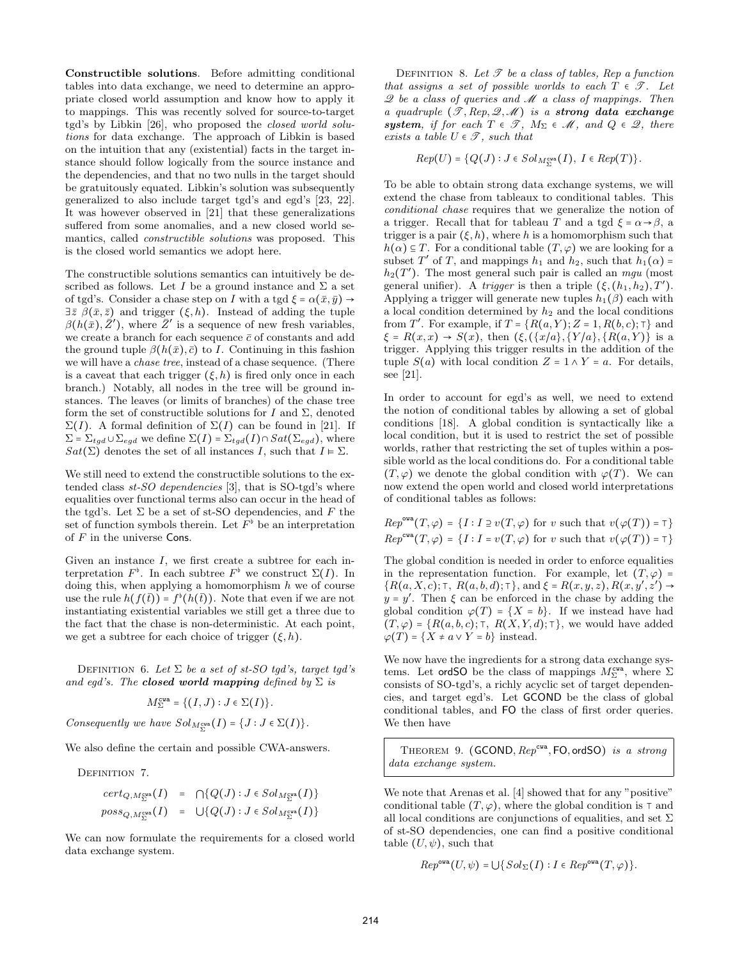Constructible solutions. Before admitting conditional tables into data exchange, we need to determine an appropriate closed world assumption and know how to apply it to mappings. This was recently solved for source-to-target tgd's by Libkin [26], who proposed the closed world solutions for data exchange. The approach of Libkin is based on the intuition that any (existential) facts in the target instance should follow logically from the source instance and the dependencies, and that no two nulls in the target should be gratuitously equated. Libkin's solution was subsequently generalized to also include target tgd's and egd's [23, 22]. It was however observed in [21] that these generalizations suffered from some anomalies, and a new closed world semantics, called constructible solutions was proposed. This is the closed world semantics we adopt here.

The constructible solutions semantics can intuitively be described as follows. Let I be a ground instance and  $\Sigma$  a set of tgd's. Consider a chase step on I with a tgd  $\xi = \alpha(\bar{x}, \bar{y}) \rightarrow$  $\exists \bar{z} \ \beta(\bar{x}, \bar{z})$  and trigger  $(\xi, h)$ . Instead of adding the tuple  $\beta(h(\bar{x}), \bar{Z}')$ , where  $\bar{Z}'$  is a sequence of new fresh variables, we create a branch for each sequence  $\bar{c}$  of constants and add the ground tuple  $\beta(h(\bar{x}), \bar{c})$  to I. Continuing in this fashion we will have a chase tree, instead of a chase sequence. (There is a caveat that each trigger  $(\xi, h)$  is fired only once in each branch.) Notably, all nodes in the tree will be ground instances. The leaves (or limits of branches) of the chase tree form the set of constructible solutions for I and  $\Sigma$ , denoted  $\Sigma(I)$ . A formal definition of  $\Sigma(I)$  can be found in [21]. If  $\Sigma = \sum_{tgd} \cup \sum_{egd}$  we define  $\Sigma(I) = \sum_{tgd}(I) \cap Sat(\Sigma_{egd})$ , where  $Sat(\Sigma)$  denotes the set of all instances I, such that  $I \models \Sigma$ .

We still need to extend the constructible solutions to the extended class  $st$ -SO dependencies [3], that is SO-tgd's where equalities over functional terms also can occur in the head of the tgd's. Let  $\Sigma$  be a set of st-SO dependencies, and F the set of function symbols therein. Let  $F^{\flat}$  be an interpretation of  $F$  in the universe Cons.

Given an instance  $I$ , we first create a subtree for each interpretation  $F^{\flat}$ . In each subtree  $F^{\flat}$  we construct  $\Sigma(I)$ . In doing this, when applying a homomorphism  $h$  we of course use the rule  $h(f(\bar{t})) = f^{\flat}(h(\bar{t}))$ . Note that even if we are not instantiating existential variables we still get a three due to the fact that the chase is non-deterministic. At each point, we get a subtree for each choice of trigger  $(\xi, h)$ .

DEFINITION 6. Let  $\Sigma$  be a set of st-SO tgd's, target tgd's and egd's. The **closed world mapping** defined by  $\Sigma$  is

$$
M^{\text{cwa}}_{\Sigma} = \{(I, J) : J \in \Sigma(I)\}.
$$

Consequently we have  $Sol_{M_{\Sigma}^{cwa}}(I) = \{J : J \in \Sigma(I)\}.$ 

We also define the certain and possible CWA-answers.

DEFINITION 7.

$$
cert_{Q, M_{\Sigma}^{\text{cva}}}(I) = \bigcap \{Q(J) : J \in Sol_{M_{\Sigma}^{\text{cva}}}(I)\}
$$
  

$$
poss_{Q, M_{\Sigma}^{\text{cva}}}(I) = \bigcup \{Q(J) : J \in Sol_{M_{\Sigma}^{\text{cva}}}(I)\}
$$

We can now formulate the requirements for a closed world data exchange system.

DEFINITION 8. Let  $\mathscr T$  be a class of tables, Rep a function that assigns a set of possible worlds to each  $T \in \mathcal{T}$ . Let  $\mathscr Q$  be a class of queries and  $\mathscr M$  a class of mappings. Then a quadruple  $(\mathscr{T}, \mathit{Rep}, \mathscr{Q}, \mathscr{M})$  is a strong data exchange system, if for each  $T \in \mathcal{T}$ ,  $M_{\Sigma} \in \mathcal{M}$ , and  $Q \in \mathcal{Q}$ , there exists a table  $U \in \mathcal{T}$ , such that

$$
Rep(U) = \{Q(J) : J \in Sol_{M_{\Sigma}^{\text{cva}}}(I), I \in Rep(T)\}.
$$

To be able to obtain strong data exchange systems, we will extend the chase from tableaux to conditional tables. This conditional chase requires that we generalize the notion of a trigger. Recall that for tableau T and a tgd  $\xi = \alpha \rightarrow \beta$ , a trigger is a pair  $(\xi, h)$ , where h is a homomorphism such that  $h(\alpha) \subseteq T$ . For a conditional table  $(T, \varphi)$  we are looking for a subset T' of T, and mappings  $h_1$  and  $h_2$ , such that  $h_1(\alpha)$  =  $h_2(T')$ . The most general such pair is called an mgu (most general unifier). A trigger is then a triple  $(\xi, (h_1, h_2), T')$ . Applying a trigger will generate new tuples  $h_1(\beta)$  each with a local condition determined by  $h_2$  and the local conditions from T'. For example, if  $T = \{R(a, Y); Z = 1, R(b, c); \tau\}$  and  $\xi = R(x, x) \rightarrow S(x)$ , then  $(\xi, (\{x/a\}, \{Y/a\}, \{R(a, Y)\})$  is a trigger. Applying this trigger results in the addition of the tuple  $S(a)$  with local condition  $Z = 1 \wedge Y = a$ . For details, see [21].

In order to account for egd's as well, we need to extend the notion of conditional tables by allowing a set of global conditions [18]. A global condition is syntactically like a local condition, but it is used to restrict the set of possible worlds, rather that restricting the set of tuples within a possible world as the local conditions do. For a conditional table  $(T, \varphi)$  we denote the global condition with  $\varphi(T)$ . We can now extend the open world and closed world interpretations of conditional tables as follows:

$$
Rep^{\text{ova}}(T, \varphi) = \{ I : I \supseteq v(T, \varphi) \text{ for } v \text{ such that } v(\varphi(T)) = \top \}
$$
  

$$
Rep^{\text{ova}}(T, \varphi) = \{ I : I = v(T, \varphi) \text{ for } v \text{ such that } v(\varphi(T)) = \top \}
$$

The global condition is needed in order to enforce equalities in the representation function. For example, let  $(T, \varphi)$  =  ${R(a, X, c)}$ ; T,  $R(a, b, d)$ ; T}, and  $\xi = R(x, y, z)$ ,  $R(x, y', z') \rightarrow$  $y = y'$ . Then  $\xi$  can be enforced in the chase by adding the global condition  $\varphi(T) = \{X = b\}$ . If we instead have had  $(T, \varphi) = \{R(a, b, c); \top, R(X, Y, d); \top\}$ , we would have added  $\varphi(T) = \{X \neq a \vee Y = b\}$  instead.

We now have the ingredients for a strong data exchange systems. Let ord SO be the class of mappings  $M_{\Sigma}^{\text{cwa}}$ , where  $\Sigma$ consists of SO-tgd's, a richly acyclic set of target dependencies, and target egd's. Let GCOND be the class of global conditional tables, and FO the class of first order queries. We then have

THEOREM 9.  $(GCOMP,Rep<sup>cwa</sup>, FO, ordSO)$  is a strong data exchange system.

We note that Arenas et al. [4] showed that for any "positive" conditional table  $(T, \varphi)$ , where the global condition is  $\tau$  and all local conditions are conjunctions of equalities, and set  $\Sigma$ of st-SO dependencies, one can find a positive conditional table  $(U, \psi)$ , such that

$$
Rep^{\text{ova}}(U, \psi) = \bigcup \{ Sol_{\Sigma}(I) : I \in Rep^{\text{ova}}(T, \varphi) \}.
$$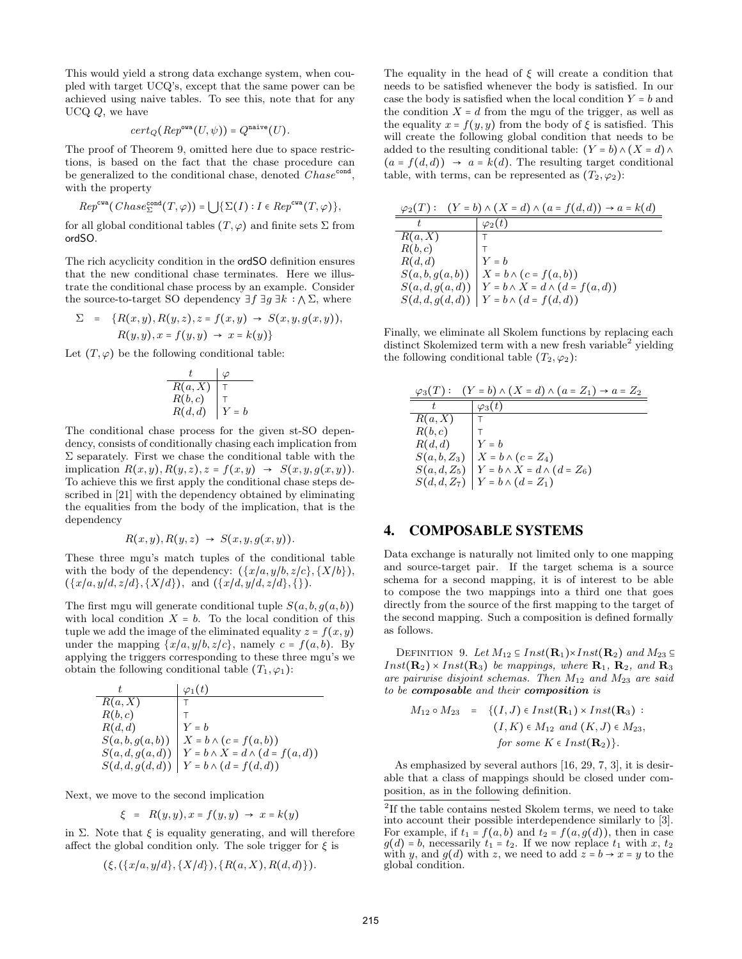This would yield a strong data exchange system, when coupled with target UCQ's, except that the same power can be achieved using naive tables. To see this, note that for any UCQ Q, we have

$$
cert_Q(\mathop{\mathit Rep}^{\circ \text{wa}}(U,\psi)) = Q^{\text{naive}}(U).
$$

The proof of Theorem 9, omitted here due to space restrictions, is based on the fact that the chase procedure can be generalized to the conditional chase, denoted  $Chase^{cond}$ , with the property

$$
Rep^{cwa}(Chase_{\Sigma}^{cond}(T,\varphi)) = \bigcup \{\Sigma(I) : I \in Rep^{cwa}(T,\varphi)\},\
$$

for all global conditional tables  $(T, \varphi)$  and finite sets  $\Sigma$  from ordSO.

The rich acyclicity condition in the ordSO definition ensures that the new conditional chase terminates. Here we illustrate the conditional chase process by an example. Consider the source-to-target SO dependency  $\exists f \exists g \exists k : \land \Sigma$ , where

$$
\Sigma = \{R(x,y), R(y,z), z = f(x,y) \rightarrow S(x,y,g(x,y)),
$$
  

$$
R(y,y), x = f(y,y) \rightarrow x = k(y)\}
$$

Let  $(T, \varphi)$  be the following conditional table:

$$
\begin{array}{c|c}\n t & \varphi \\
\hline\nR(a, X) & \top \\
R(b, c) & \top \\
R(d, d) & Y = b\n\end{array}
$$

The conditional chase process for the given st-SO dependency, consists of conditionally chasing each implication from  $\Sigma$  separately. First we chase the conditional table with the implication  $R(x, y), R(y, z), z = f(x, y) \rightarrow S(x, y, g(x, y)).$ To achieve this we first apply the conditional chase steps described in [21] with the dependency obtained by eliminating the equalities from the body of the implication, that is the dependency

$$
R(x,y), R(y,z) \rightarrow S(x,y,g(x,y)).
$$

These three mgu's match tuples of the conditional table with the body of the dependency:  $({x/a, y/b, z/c}, {X/b}),$  $({x/a, y/d, z/d}, {X/d}),$  and  $({x/d, y/d, z/d}, \})$ .

The first mgu will generate conditional tuple  $S(a, b, g(a, b))$ with local condition  $X = b$ . To the local condition of this tuple we add the image of the eliminated equality  $z = f(x, y)$ under the mapping  $\{x/a, y/b, z/c\}$ , namely  $c = f(a, b)$ . By applying the triggers corresponding to these three mgu's we obtain the following conditional table  $(T_1, \varphi_1)$ :

|               | $\varphi_1(t)$                               |
|---------------|----------------------------------------------|
| R(a, X)       |                                              |
| R(b,c)        |                                              |
| R(d,d)        | $Y = h$                                      |
| S(a,b,g(a,b)) | $X = b \wedge \big(c = f\big(a, b\big)\big)$ |
| S(a,d,g(a,d)) | $Y = b \wedge X = d \wedge (d = f(a, d))$    |
| S(d,d,g(d,d)) | $Y = b \wedge (d = f(d, d))$                 |

Next, we move to the second implication

$$
\xi = R(y, y), x = f(y, y) \rightarrow x = k(y)
$$

in  $\Sigma$ . Note that  $\xi$  is equality generating, and will therefore affect the global condition only. The sole trigger for  $\xi$  is

$$
(\xi, (\{x/a, y/d\}, \{X/d\}), \{R(a, X), R(d, d)\}).
$$

The equality in the head of  $\xi$  will create a condition that needs to be satisfied whenever the body is satisfied. In our case the body is satisfied when the local condition  $Y = b$  and the condition  $X = d$  from the mgu of the trigger, as well as the equality  $x = f(y, y)$  from the body of  $\xi$  is satisfied. This will create the following global condition that needs to be added to the resulting conditional table:  $(Y = b) \wedge (X = d) \wedge (X = d)$  $(a = f(d, d)) \rightarrow a = k(d)$ . The resulting target conditional table, with terms, can be represented as  $(T_2, \varphi_2)$ :

| $\varphi_2(T):$ | $(Y = b) \wedge (X = d) \wedge (a = f(d, d)) \rightarrow a = k(d)$ |
|-----------------|--------------------------------------------------------------------|
|                 | $\varphi_2(t)$                                                     |
| R(a, X)         |                                                                    |
| R(b,c)          |                                                                    |
| R(d,d)          | $Y = h$                                                            |
| S(a,b,g(a,b))   | $X = b \wedge (c = f(a, b))$                                       |
| S(a,d,g(a,d))   | $Y = b \wedge X = d \wedge (d = f(a, d))$                          |
| S(d,d,g(d,d))   | $Y = b \wedge (d = f(d, d))$                                       |

Finally, we eliminate all Skolem functions by replacing each distinct Skolemized term with a new fresh variable<sup>2</sup> yielding the following conditional table  $(T_2, \varphi_2)$ :

| $\varphi_3(T):$ | $(Y = b) \wedge (X = d) \wedge (a = Z_1) \rightarrow a = Z_2$ |
|-----------------|---------------------------------------------------------------|
|                 | $\varphi_3(t)$                                                |
| R(a, X)         |                                                               |
| R(b,c)          |                                                               |
| R(d,d)          | $Y = h$                                                       |
| $S(a,b,Z_3)$    | $X = b \wedge (c = Z_4)$                                      |
| $S(a,d,Z_5)$    | $Y = b \wedge X = d \wedge (d = Z_6)$                         |
| $S(d,d,Z_7)$    | $Y = b \wedge (d = Z_1)$                                      |

# 4. COMPOSABLE SYSTEMS

Data exchange is naturally not limited only to one mapping and source-target pair. If the target schema is a source schema for a second mapping, it is of interest to be able to compose the two mappings into a third one that goes directly from the source of the first mapping to the target of the second mapping. Such a composition is defined formally as follows.

DEFINITION 9. Let  $M_{12} \subseteq Inst(\mathbf{R}_1) \times Inst(\mathbf{R}_2)$  and  $M_{23} \subseteq$  $Inst(\mathbf{R}_2) \times Inst(\mathbf{R}_3)$  be mappings, where  $\mathbf{R}_1$ ,  $\mathbf{R}_2$ , and  $\mathbf{R}_3$ are pairwise disjoint schemas. Then  $M_{12}$  and  $M_{23}$  are said to be composable and their composition is

$$
M_{12} \circ M_{23} = \{ (I, J) \in Inst(\mathbf{R}_1) \times Inst(\mathbf{R}_3) :(I, K) \in M_{12} \text{ and } (K, J) \in M_{23},for some  $K \in Inst(\mathbf{R}_2)$  \}.
$$

As emphasized by several authors [16, 29, 7, 3], it is desirable that a class of mappings should be closed under composition, as in the following definition.

<sup>&</sup>lt;sup>2</sup>If the table contains nested Skolem terms, we need to take into account their possible interdependence similarly to [3]. For example, if  $t_1 = f(a, b)$  and  $t_2 = f(a, g(d))$ , then in case  $g(d) = b$ , necessarily  $t_1 = t_2$ . If we now replace  $t_1$  with  $x, t_2$ with y, and  $g(d)$  with z, we need to add  $z = b \rightarrow x = y$  to the global condition.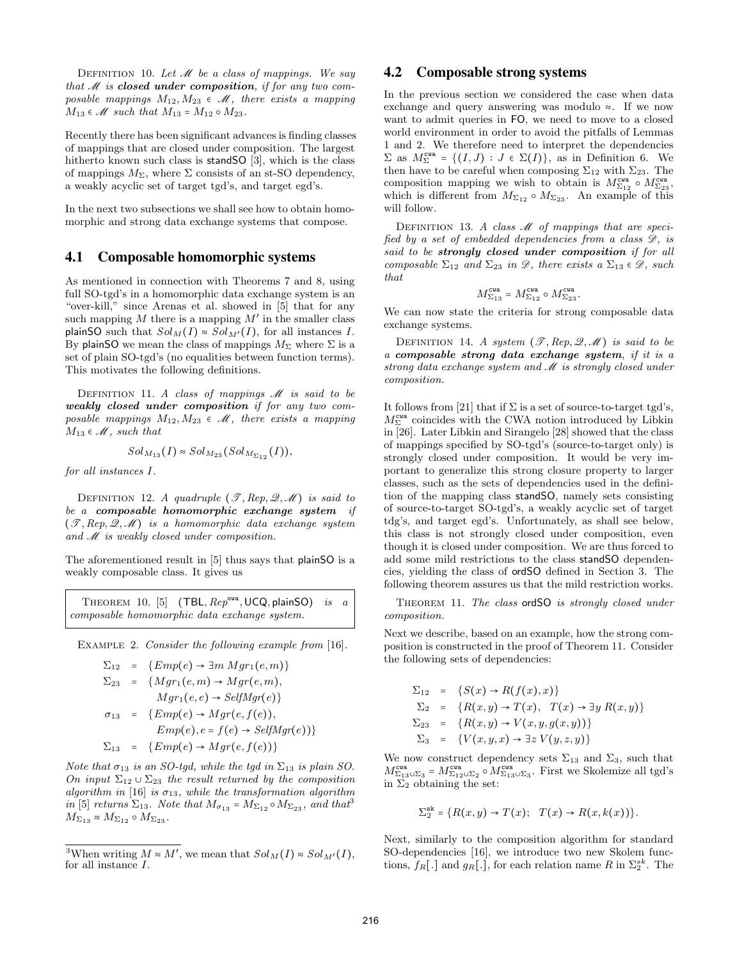DEFINITION 10. Let  $\mathcal M$  be a class of mappings. We say that  $M$  is closed under composition, if for any two composable mappings  $M_{12}, M_{23} \in \mathcal{M}$ , there exists a mapping  $M_{13} \in \mathcal{M}$  such that  $M_{13} = M_{12} \circ M_{23}$ .

Recently there has been significant advances is finding classes of mappings that are closed under composition. The largest hitherto known such class is standSO [3], which is the class of mappings  $M_{\Sigma}$ , where  $\Sigma$  consists of an st-SO dependency, a weakly acyclic set of target tgd's, and target egd's.

In the next two subsections we shall see how to obtain homomorphic and strong data exchange systems that compose.

# 4.1 Composable homomorphic systems

As mentioned in connection with Theorems 7 and 8, using full SO-tgd's in a homomorphic data exchange system is an "over-kill," since Arenas et al. showed in [5] that for any such mapping M there is a mapping  $M'$  in the smaller class plainSO such that  $Sol<sub>M</sub>(I) \approx Sol<sub>M'</sub>(I)$ , for all instances I. By plainSO we mean the class of mappings  $M_{\Sigma}$  where  $\Sigma$  is a set of plain SO-tgd's (no equalities between function terms). This motivates the following definitions.

DEFINITION 11. A class of mappings  $M$  is said to be weakly closed under composition if for any two composable mappings  $M_{12}, M_{23} \in \mathcal{M}$ , there exists a mapping  $M_{13} \in \mathcal{M}$ , such that

$$
Sol_{M_{13}}(I) \approx Sol_{M_{23}}(Sol_{M_{\Sigma_{12}}}(I)),
$$

for all instances I.

DEFINITION 12. A quadruple  $(\mathscr{T}, Rep, \mathscr{Q}, \mathscr{M})$  is said to be a composable homomorphic exchange system if  $(\mathscr{T}, Rep, \mathscr{Q}, \mathscr{M})$  is a homomorphic data exchange system and M is weakly closed under composition.

The aforementioned result in [5] thus says that plainSO is a weakly composable class. It gives us

THEOREM 10. [5]  $(TBL, Rep^{\text{ova}}, UCQ, plain SO)$  is a composable homomorphic data exchange system.

EXAMPLE 2. Consider the following example from [16].

$$
\Sigma_{12} = \{Emp(e) \rightarrow \exists m \; Mgr_1(e, m)\}
$$
  
\n
$$
\Sigma_{23} = \{Mgr_1(e, m) \rightarrow Mgr(e, m),
$$
  
\n
$$
Mgr_1(e, e) \rightarrow SelfMgr(e)\}
$$
  
\n
$$
\sigma_{13} = \{Emp(e) \rightarrow Mgr(e, f(e)),
$$
  
\n
$$
Emp(e), e = f(e) \rightarrow SelfMgr(e))\}
$$
  
\n
$$
\Sigma_{13} = \{Emp(e) \rightarrow Mgr(e, f(e))\}
$$

Note that  $\sigma_{13}$  is an SO-tgd, while the tgd in  $\Sigma_{13}$  is plain SO. On input  $\Sigma_{12} \cup \Sigma_{23}$  the result returned by the composition algorithm in [16] is  $\sigma_{13}$ , while the transformation algorithm in [5] returns  $\Sigma_{13}$ . Note that  $M_{\sigma_{13}} = M_{\Sigma_{12}} \circ M_{\Sigma_{23}}$ , and that  $M_{\Sigma_{13}} \approx M_{\Sigma_{12}} \circ M_{\Sigma_{23}}.$ 

# 4.2 Composable strong systems

In the previous section we considered the case when data exchange and query answering was modulo ≈. If we now want to admit queries in FO, we need to move to a closed world environment in order to avoid the pitfalls of Lemmas 1 and 2. We therefore need to interpret the dependencies  $\Sigma$  as  $M_{\Sigma}^{\text{cwa}} = \{(I, J) : J \in \Sigma(I)\}\text{, as in Definition 6. We}$ then have to be careful when composing  $\Sigma_{12}$  with  $\Sigma_{23}$ . The composition mapping we wish to obtain is  $M_{\Sigma_{12}}^{\text{cwa}} \circ M_{\Sigma_{23}}^{\text{cwa}}$ , which is different from  $M_{\Sigma_{12}} \circ M_{\Sigma_{23}}$ . An example of this will follow.

DEFINITION 13. A class  $M$  of mappings that are specified by a set of embedded dependencies from a class  $\mathscr{D}$ , is said to be strongly closed under composition if for all composable  $\Sigma_{12}$  and  $\Sigma_{23}$  in  $\mathscr{D}$ , there exists a  $\Sigma_{13} \in \mathscr{D}$ , such that

$$
M^{\mathrm{cwa}}_{\Sigma_{13}} = M^{\mathrm{cwa}}_{\Sigma_{12}} \circ M^{\mathrm{cwa}}_{\Sigma_{23}}.
$$

We can now state the criteria for strong composable data exchange systems.

DEFINITION 14. A system  $(\mathscr{T}, Rep, \mathscr{Q}, \mathscr{M})$  is said to be a composable strong data exchange system, if it is a strong data exchange system and  $M$  is strongly closed under composition.

It follows from [21] that if  $\Sigma$  is a set of source-to-target tgd's,  $M^{\texttt{cwa}}_{\Sigma}$  coincides with the CWA notion introduced by Libkin in [26]. Later Libkin and Sirangelo [28] showed that the class of mappings specified by SO-tgd's (source-to-target only) is strongly closed under composition. It would be very important to generalize this strong closure property to larger classes, such as the sets of dependencies used in the definition of the mapping class standSO, namely sets consisting of source-to-target SO-tgd's, a weakly acyclic set of target tdg's, and target egd's. Unfortunately, as shall see below, this class is not strongly closed under composition, even though it is closed under composition. We are thus forced to add some mild restrictions to the class standSO dependencies, yielding the class of ordSO defined in Section 3. The following theorem assures us that the mild restriction works.

THEOREM 11. The class ordSO is strongly closed under composition.

Next we describe, based on an example, how the strong composition is constructed in the proof of Theorem 11. Consider the following sets of dependencies:

$$
\Sigma_{12} = \{S(x) \to R(f(x), x)\}
$$
  
\n
$$
\Sigma_2 = \{R(x, y) \to T(x), T(x) \to \exists y R(x, y)\}
$$
  
\n
$$
\Sigma_{23} = \{R(x, y) \to V(x, y, g(x, y))\}
$$
  
\n
$$
\Sigma_3 = \{V(x, y, x) \to \exists z V(y, z, y)\}
$$

We now construct dependency sets  $\Sigma_{13}$  and  $\Sigma_3$ , such that  $M^{\mathtt{cwa}}_{\Sigma_{13}\cup\Sigma_3}=M^{\mathtt{cwa}}_{\Sigma_{12}\cup\Sigma_2}\circ M^{\mathtt{cwa}}_{\Sigma_{13}\cup\Sigma_3}.$  First we Skolemize all tgd's in  $\Sigma_2$  obtaining the set:

$$
\Sigma_2^{\mathsf{sk}} = \{ R(x, y) \to T(x); \quad T(x) \to R(x, k(x)) \}.
$$

Next, similarly to the composition algorithm for standard SO-dependencies [16], we introduce two new Skolem functions,  $f_R[.]$  and  $g_R[.]$ , for each relation name R in  $\Sigma_2^{sk}$ . The

<sup>&</sup>lt;sup>3</sup>When writing  $M \approx M'$ , we mean that  $Sol_M(I) \approx Sol_{M'}(I)$ , for all instance I.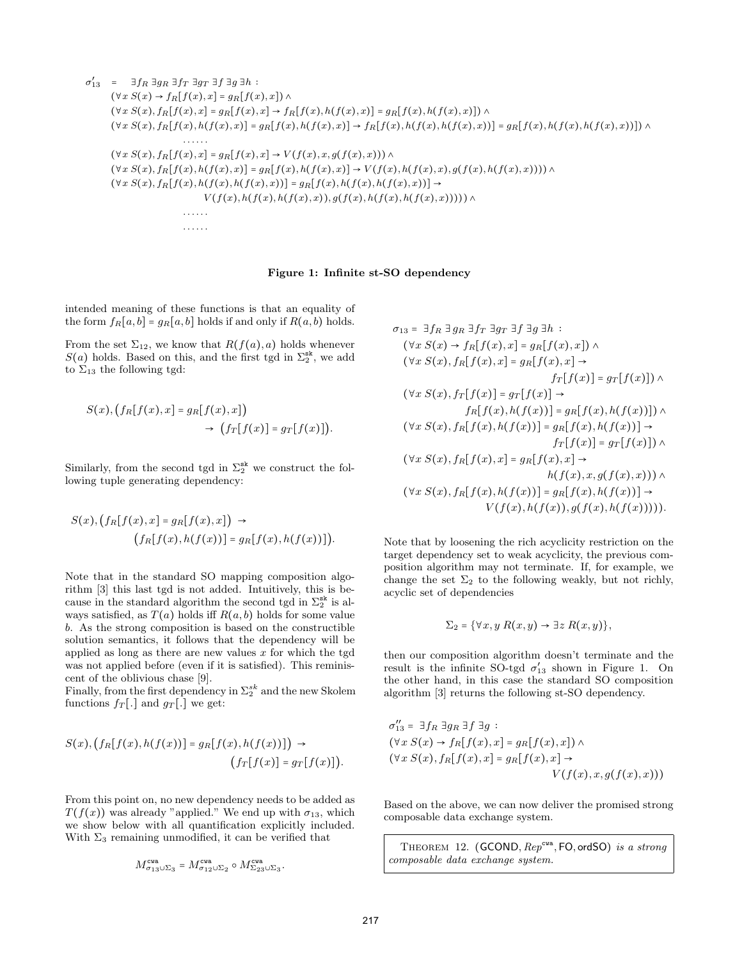$$
\sigma'_{13} = \exists f_R \exists g_R \exists f_T \exists g \exists h :
$$
  
\n
$$
(\forall x S(x) \rightarrow f_R[f(x), x] = g_R[f(x), x]) \land
$$
  
\n
$$
(\forall x S(x), f_R[f(x), x] = g_R[f(x), x] \rightarrow f_R[f(x), h(f(x), x)] = g_R[f(x), h(f(x), x)]) \land
$$
  
\n
$$
(\forall x S(x), f_R[f(x), h(f(x), x)] = g_R[f(x), h(f(x), x)] \rightarrow f_R[f(x), h(f(x), h(f(x), x))] = g_R[f(x), h(f(x), h(f(x), x)] \land
$$
  
\n
$$
\cdots \cdots
$$
  
\n
$$
(\forall x S(x), f_R[f(x), x] = g_R[f(x), x] \rightarrow V(f(x), x, g(f(x), x))) \land
$$
  
\n
$$
(\forall x S(x), f_R[f(x), h(f(x), x)] = g_R[f(x), h(f(x), x)] \rightarrow V(f(x), h(f(x), x), g(f(x), h(f(x), x)))) \land
$$
  
\n
$$
(\forall x S(x), f_R[f(x), h(f(x), h(f(x), x))] = g_R[f(x), h(f(x), h(f(x), x))]) \rightarrow
$$
  
\n
$$
V(f(x), h(f(x), h(f(x), x)), g(f(x), h(f(x), h(f(x), x))))) \land
$$
  
\n
$$
\cdots \cdots
$$

#### Figure 1: Infinite st-SO dependency

intended meaning of these functions is that an equality of the form  $f_R[a, b] = g_R[a, b]$  holds if and only if  $R(a, b)$  holds.

From the set  $\Sigma_{12}$ , we know that  $R(f(a), a)$  holds whenever  $S(a)$  holds. Based on this, and the first tgd in  $\Sigma_2^{\text{sk}}$ , we add to  $\Sigma_{13}$  the following tgd:

$$
S(x), (f_R[f(x), x] = g_R[f(x), x])
$$
  

$$
\rightarrow (f_T[f(x)] = g_T[f(x)]).
$$

Similarly, from the second tgd in  $\Sigma_2^{\text{sk}}$  we construct the following tuple generating dependency:

$$
S(x), (f_R[f(x),x] = g_R[f(x),x]) \rightarrow
$$
  

$$
(f_R[f(x),h(f(x))] = g_R[f(x),h(f(x))]).
$$

Note that in the standard SO mapping composition algorithm [3] this last tgd is not added. Intuitively, this is because in the standard algorithm the second tgd in  $\Sigma_2^{\text{sk}}$  is always satisfied, as  $T(a)$  holds iff  $R(a, b)$  holds for some value b. As the strong composition is based on the constructible solution semantics, it follows that the dependency will be applied as long as there are new values  $x$  for which the tgd was not applied before (even if it is satisfied). This reminiscent of the oblivious chase [9].

Finally, from the first dependency in  $\Sigma_2^{sk}$  and the new Skolem functions  $f_T[.]$  and  $g_T[.]$  we get:

$$
S(x), (f_R[f(x), h(f(x))] = g_R[f(x), h(f(x))]) \rightarrow (f_T[f(x)] = g_T[f(x)]).
$$

From this point on, no new dependency needs to be added as  $T(f(x))$  was already "applied." We end up with  $\sigma_{13}$ , which we show below with all quantification explicitly included. With  $\Sigma_3$  remaining unmodified, it can be verified that

$$
M^{\mathrm{cwa}}_{\sigma_{13}\cup\Sigma_3}=M^{\mathrm{cwa}}_{\sigma_{12}\cup\Sigma_2}\circ M^{\mathrm{cwa}}_{\Sigma_{23}\cup\Sigma_3}
$$

.

 $\sigma_{13} = \exists f_R \exists q_R \exists f_T \exists q_T \exists f \exists q \exists h$ :  $(\forall x S(x) \rightarrow f_R[f(x),x] = g_R[f(x),x])$  ∧  $(\forall x S(x), f_R[f(x), x] = g_R[f(x), x] \rightarrow$  $f_T[f(x)] = g_T[f(x)]) \wedge$  $(\forall x S(x), f_T[f(x)] = g_T[f(x)] \rightarrow$  $f_R[f(x), h(f(x))] = g_R[f(x), h(f(x))])$  ∧  $(\forall x S(x), f_R[f(x), h(f(x))] = g_R[f(x), h(f(x))] \rightarrow$  $f_T[f(x)] = g_T[f(x)]) \wedge$  $(\forall x S(x), f_R[f(x), x] = g_R[f(x), x] \rightarrow$  $h(f(x), x, g(f(x), x))) \wedge$  $(\forall x S(x), f_R[f(x), h(f(x))] = g_R[f(x), h(f(x))] \rightarrow$  $V(f(x), h(f(x)), q(f(x), h(f(x))))$ .

Note that by loosening the rich acyclicity restriction on the target dependency set to weak acyclicity, the previous composition algorithm may not terminate. If, for example, we change the set  $\Sigma_2$  to the following weakly, but not richly, acyclic set of dependencies

$$
\Sigma_2 = \{ \forall x, y \; R(x, y) \to \exists z \; R(x, y) \},
$$

then our composition algorithm doesn't terminate and the result is the infinite SO-tgd  $\sigma'_{13}$  shown in Figure 1. On the other hand, in this case the standard SO composition algorithm [3] returns the following st-SO dependency.

$$
\sigma_{13}'' = \exists f_R \exists g_R \exists f \exists g :
$$
  
\n
$$
(\forall x S(x) \rightarrow f_R[f(x), x] = g_R[f(x), x]) \land
$$
  
\n
$$
(\forall x S(x), f_R[f(x), x] = g_R[f(x), x] \rightarrow
$$
  
\n
$$
V(f(x), x, g(f(x), x)))
$$

Based on the above, we can now deliver the promised strong composable data exchange system.

THEOREM 12.  $(GCOMP, Rep^{cva}, FO, ordSO)$  is a strong composable data exchange system.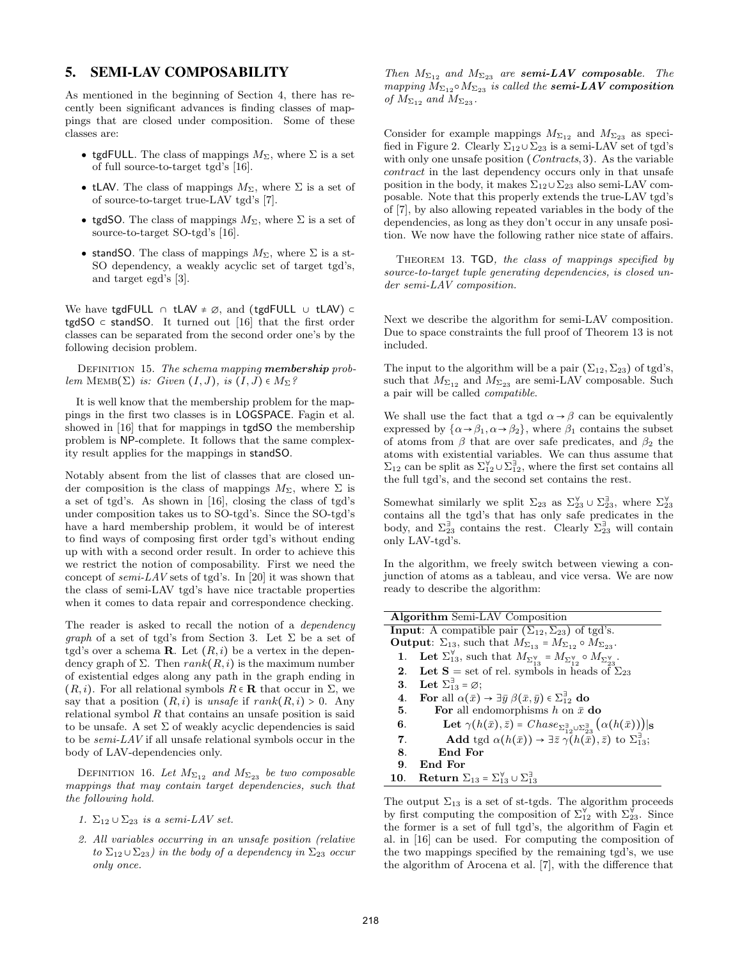# 5. SEMI-LAV COMPOSABILITY

As mentioned in the beginning of Section 4, there has recently been significant advances is finding classes of mappings that are closed under composition. Some of these classes are:

- tgdFULL. The class of mappings  $M_{\Sigma}$ , where  $\Sigma$  is a set of full source-to-target tgd's [16].
- tLAV. The class of mappings  $M_{\Sigma}$ , where  $\Sigma$  is a set of of source-to-target true-LAV tgd's [7].
- tgdSO. The class of mappings  $M_{\Sigma}$ , where  $\Sigma$  is a set of source-to-target SO-tgd's [16].
- stand SO. The class of mappings  $M_{\Sigma}$ , where  $\Sigma$  is a st-SO dependency, a weakly acyclic set of target tgd's, and target egd's [3].

We have tgdFULL ∩ tLAV  $\neq \emptyset$ , and (tgdFULL ∪ tLAV) ⊂ tgdSO  $\subset$  standSO. It turned out [16] that the first order classes can be separated from the second order one's by the following decision problem.

DEFINITION 15. The schema mapping **membership** problem MEMB( $\Sigma$ ) is: Given  $(I, J)$ , is  $(I, J) \in M_{\Sigma}$ ?

It is well know that the membership problem for the mappings in the first two classes is in LOGSPACE. Fagin et al. showed in [16] that for mappings in tgdSO the membership problem is NP-complete. It follows that the same complexity result applies for the mappings in standSO.

Notably absent from the list of classes that are closed under composition is the class of mappings  $M_{\Sigma}$ , where  $\Sigma$  is a set of tgd's. As shown in [16], closing the class of tgd's under composition takes us to SO-tgd's. Since the SO-tgd's have a hard membership problem, it would be of interest to find ways of composing first order tgd's without ending up with with a second order result. In order to achieve this we restrict the notion of composability. First we need the concept of  $semi-LAV$  sets of tgd's. In [20] it was shown that the class of semi-LAV tgd's have nice tractable properties when it comes to data repair and correspondence checking.

The reader is asked to recall the notion of a *dependency graph* of a set of tgd's from Section 3. Let  $\Sigma$  be a set of tgd's over a schema **R**. Let  $(R, i)$  be a vertex in the dependency graph of  $\Sigma$ . Then  $rank(R, i)$  is the maximum number of existential edges along any path in the graph ending in  $(R, i)$ . For all relational symbols  $R \in \mathbf{R}$  that occur in  $\Sigma$ , we say that a position  $(R, i)$  is unsafe if  $rank(R, i) > 0$ . Any relational symbol  $R$  that contains an unsafe position is said to be unsafe. A set  $\Sigma$  of weakly acyclic dependencies is said to be semi-LAV if all unsafe relational symbols occur in the body of LAV-dependencies only.

DEFINITION 16. Let  $M_{\Sigma_{12}}$  and  $M_{\Sigma_{23}}$  be two composable mappings that may contain target dependencies, such that the following hold.

- 1.  $\Sigma_{12} \cup \Sigma_{23}$  is a semi-LAV set.
- 2. All variables occurring in an unsafe position (relative to  $\Sigma_{12} \cup \Sigma_{23}$ ) in the body of a dependency in  $\Sigma_{23}$  occur only once.

Then  $M_{\Sigma_{12}}$  and  $M_{\Sigma_{23}}$  are semi-LAV composable. The mapping  $M_{\Sigma_{12}} \circ M_{\Sigma_{23}}$  is called the semi-LAV composition of  $M_{\Sigma_{12}}$  and  $M_{\Sigma_{23}}$ .

Consider for example mappings  $M_{\Sigma_{12}}$  and  $M_{\Sigma_{23}}$  as specified in Figure 2. Clearly  $\Sigma_{12} \cup \Sigma_{23}$  is a semi-LAV set of tgd's with only one unsafe position (*Contracts*, 3). As the variable contract in the last dependency occurs only in that unsafe position in the body, it makes  $\Sigma_{12} \cup \Sigma_{23}$  also semi-LAV composable. Note that this properly extends the true-LAV tgd's of [7], by also allowing repeated variables in the body of the dependencies, as long as they don't occur in any unsafe position. We now have the following rather nice state of affairs.

THEOREM 13. TGD, the class of mappings specified by source-to-target tuple generating dependencies, is closed under semi-LAV composition.

Next we describe the algorithm for semi-LAV composition. Due to space constraints the full proof of Theorem 13 is not included.

The input to the algorithm will be a pair  $(\Sigma_{12}, \Sigma_{23})$  of tgd's, such that  $M_{\Sigma_{12}}$  and  $M_{\Sigma_{23}}$  are semi-LAV composable. Such a pair will be called compatible.

We shall use the fact that a tgd  $\alpha \rightarrow \beta$  can be equivalently expressed by  $\{\alpha \rightarrow \beta_1, \alpha \rightarrow \beta_2\}$ , where  $\beta_1$  contains the subset of atoms from  $\beta$  that are over safe predicates, and  $\beta_2$  the atoms with existential variables. We can thus assume that  $\Sigma_{12}$  can be split as  $\Sigma_{12}^{\forall} \cup \Sigma_{12}^{\exists}$ , where the first set contains all the full tgd's, and the second set contains the rest.

Somewhat similarly we split  $\Sigma_{23}$  as  $\Sigma_{23}^{\forall} \cup \Sigma_{23}^{\exists}$ , where  $\Sigma_{23}^{\forall}$ contains all the tgd's that has only safe predicates in the body, and  $\Sigma_{23}^{\exists}$  contains the rest. Clearly  $\Sigma_{23}^{\exists}$  will contain only LAV-tgd's.

In the algorithm, we freely switch between viewing a conjunction of atoms as a tableau, and vice versa. We are now ready to describe the algorithm:

| <b>Algorithm</b> Semi-LAV Composition                                                                                                |  |
|--------------------------------------------------------------------------------------------------------------------------------------|--|
| <b>Input:</b> A compatible pair $(\Sigma_{12}, \Sigma_{23})$ of tgd's.                                                               |  |
| <b>Output</b> : $\Sigma_{13}$ , such that $M_{\Sigma_{13}} = M_{\Sigma_{12}} \circ M_{\Sigma_{23}}$ .                                |  |
| 1. Let $\Sigma_{13}^{\forall}$ , such that $M_{\Sigma_{13}^{\forall}} = M_{\Sigma_{12}^{\forall}} \circ M_{\Sigma_{23}^{\forall}}$ . |  |
| 2. Let S = set of rel. symbols in heads of $\Sigma_{23}$                                                                             |  |
| 3. Let $\Sigma_{13}^{\exists} = \emptyset$ ;                                                                                         |  |
| For all $\alpha(\bar{x}) \rightarrow \exists \bar{y} \ \beta(\bar{x}, \bar{y}) \in \Sigma_{12}^{\exists}$ do<br>4.                   |  |
| For all endomorphisms h on $\bar{x}$ do<br>5.                                                                                        |  |
| Let $\gamma(h(\bar{x}), \bar{z}) = Chase_{\sum_{i=1}^{3} \cup \sum_{i=3}^{3}} (\alpha(h(\bar{x}))) _{S}$<br>6.                       |  |
| <b>Add</b> tgd $\alpha(h(\bar{x})) \rightarrow \exists \bar{z} \gamma(h(\bar{x}), \bar{z})$ to $\Sigma_{13}^{\exists}$ ;             |  |
| End For<br>8.                                                                                                                        |  |
| End For<br>9.                                                                                                                        |  |
| 10. Return $\Sigma_{13} = \Sigma_{13}^{\forall} \cup \Sigma_{13}^{\exists}$                                                          |  |

The output  $\Sigma_{13}$  is a set of st-tgds. The algorithm proceeds by first computing the composition of  $\Sigma_{12}^{\forall}$  with  $\Sigma_{23}^{\forall}$ . Since the former is a set of full tgd's, the algorithm of Fagin et al. in [16] can be used. For computing the composition of the two mappings specified by the remaining tgd's, we use the algorithm of Arocena et al. [7], with the difference that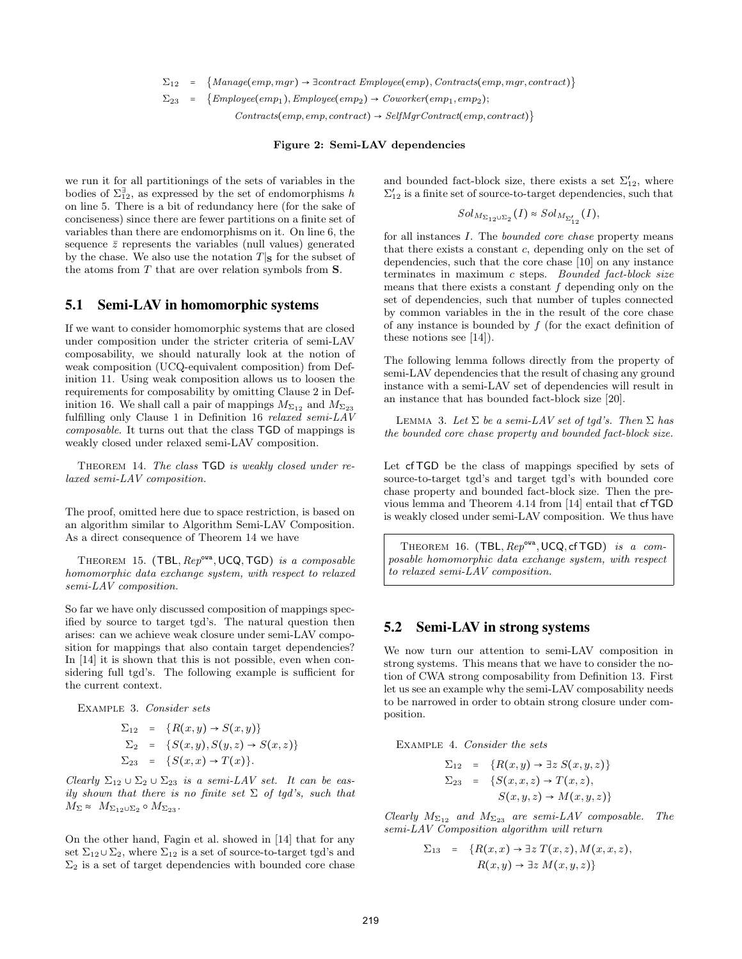$\Sigma_{12}$  = {Manage(emp, mgr) →  $\exists contract \, Emplove(emp), \,Contracts(emp, mgr, contract)$ }

 $\Sigma_{23}$  = {Employee(emp<sub>1</sub>), Employee(emp<sub>2</sub>) → Coworker(emp<sub>1</sub>, emp<sub>2</sub>);

 $Contracts(emp, emp, contract) \rightarrow SelfMqrContract(emp, contract)$ 

#### Figure 2: Semi-LAV dependencies

we run it for all partitionings of the sets of variables in the bodies of  $\Sigma_{12}^{\exists}$ , as expressed by the set of endomorphisms h on line 5. There is a bit of redundancy here (for the sake of conciseness) since there are fewer partitions on a finite set of variables than there are endomorphisms on it. On line 6, the sequence  $\bar{z}$  represents the variables (null values) generated by the chase. We also use the notation  $T|S$  for the subset of the atoms from T that are over relation symbols from S.

### 5.1 Semi-LAV in homomorphic systems

If we want to consider homomorphic systems that are closed under composition under the stricter criteria of semi-LAV composability, we should naturally look at the notion of weak composition (UCQ-equivalent composition) from Definition 11. Using weak composition allows us to loosen the requirements for composability by omitting Clause 2 in Definition 16. We shall call a pair of mappings  $M_{\Sigma_{12}}$  and  $M_{\Sigma_{23}}$ fulfilling only Clause 1 in Definition 16 relaxed semi-LAV composable. It turns out that the class TGD of mappings is weakly closed under relaxed semi-LAV composition.

THEOREM 14. The class TGD is weakly closed under relaxed semi-LAV composition.

The proof, omitted here due to space restriction, is based on an algorithm similar to Algorithm Semi-LAV Composition. As a direct consequence of Theorem 14 we have

THEOREM 15. (TBL,  $\text{Rep}^{\text{ova}}$ , UCQ, TGD) is a composable homomorphic data exchange system, with respect to relaxed semi-LAV composition.

So far we have only discussed composition of mappings specified by source to target tgd's. The natural question then arises: can we achieve weak closure under semi-LAV composition for mappings that also contain target dependencies? In [14] it is shown that this is not possible, even when considering full tgd's. The following example is sufficient for the current context.

Example 3. Consider sets

$$
\Sigma_{12} = \{R(x,y) \to S(x,y)\}
$$
  
\n
$$
\Sigma_2 = \{S(x,y), S(y,z) \to S(x,z)\}
$$
  
\n
$$
\Sigma_{23} = \{S(x,x) \to T(x)\}.
$$

Clearly  $\Sigma_{12} \cup \Sigma_{23}$  is a semi-LAV set. It can be easily shown that there is no finite set  $\Sigma$  of tgd's, such that  $M_{\Sigma} \approx M_{\Sigma_{12}\cup\Sigma_{2}} \circ M_{\Sigma_{23}}.$ 

On the other hand, Fagin et al. showed in [14] that for any set  $\Sigma_{12} \cup \Sigma_2$ , where  $\Sigma_{12}$  is a set of source-to-target tgd's and  $\Sigma_2$  is a set of target dependencies with bounded core chase and bounded fact-block size, there exists a set  $\Sigma'_{12}$ , where  $\Sigma'_{12}$  is a finite set of source-to-target dependencies, such that

$$
Sol_{M_{\Sigma_{12}\cup\Sigma_2}}(I) \approx Sol_{M_{\Sigma'_{12}}}(I),
$$

for all instances I. The bounded core chase property means that there exists a constant c, depending only on the set of dependencies, such that the core chase [10] on any instance terminates in maximum c steps. Bounded fact-block size means that there exists a constant  $f$  depending only on the set of dependencies, such that number of tuples connected by common variables in the in the result of the core chase of any instance is bounded by  $f$  (for the exact definition of these notions see [14]).

The following lemma follows directly from the property of semi-LAV dependencies that the result of chasing any ground instance with a semi-LAV set of dependencies will result in an instance that has bounded fact-block size [20].

LEMMA 3. Let  $\Sigma$  be a semi-LAV set of tgd's. Then  $\Sigma$  has the bounded core chase property and bounded fact-block size.

Let cf TGD be the class of mappings specified by sets of source-to-target tgd's and target tgd's with bounded core chase property and bounded fact-block size. Then the previous lemma and Theorem 4.14 from [14] entail that cf TGD is weakly closed under semi-LAV composition. We thus have

THEOREM 16. (TBL,  $Rep^{\text{ova}}$ , UCQ, cf TGD) is a composable homomorphic data exchange system, with respect to relaxed semi-LAV composition.

### 5.2 Semi-LAV in strong systems

We now turn our attention to semi-LAV composition in strong systems. This means that we have to consider the notion of CWA strong composability from Definition 13. First let us see an example why the semi-LAV composability needs to be narrowed in order to obtain strong closure under composition.

Example 4. Consider the sets

$$
\Sigma_{12} = \{R(x,y) \rightarrow \exists z S(x,y,z)\}
$$
  

$$
\Sigma_{23} = \{S(x,x,z) \rightarrow T(x,z),
$$
  

$$
S(x,y,z) \rightarrow M(x,y,z)\}
$$

Clearly  $M_{\Sigma_{12}}$  and  $M_{\Sigma_{23}}$  are semi-LAV composable. The semi-LAV Composition algorithm will return

$$
\Sigma_{13} = \{ R(x, x) \to \exists z \ T(x, z), M(x, x, z),
$$
  

$$
R(x, y) \to \exists z \ M(x, y, z) \}
$$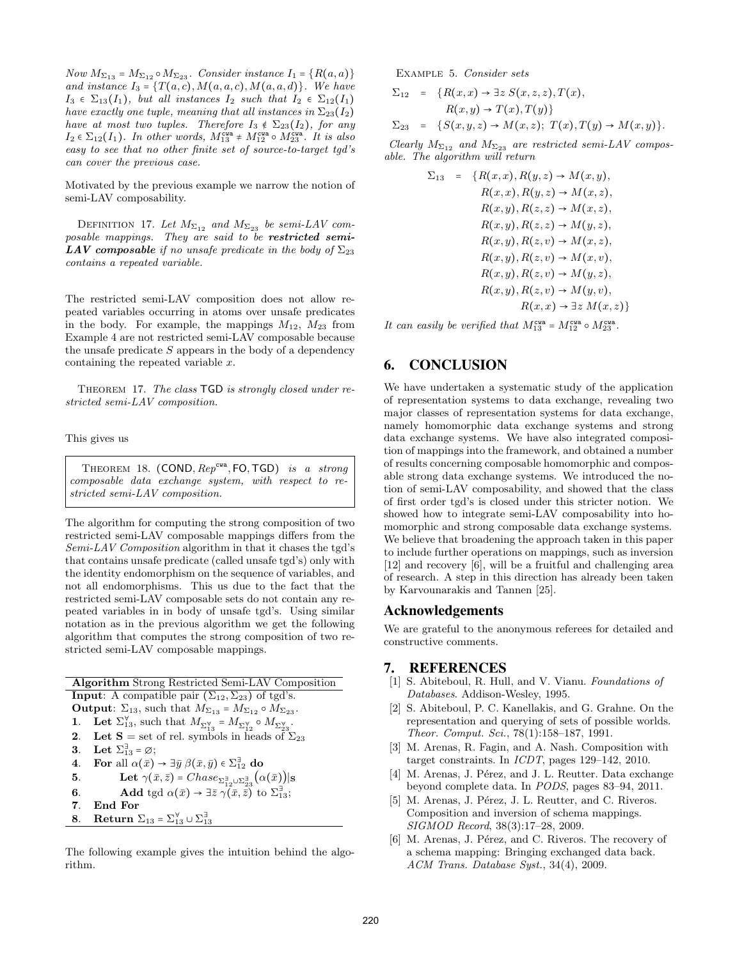Now  $M_{\Sigma_{13}} = M_{\Sigma_{12}} \circ M_{\Sigma_{23}}$ . Consider instance  $I_1 = \{R(a, a)\}$ and instance  $I_3 = \{T(a, c), M(a, a, c), M(a, a, d)\}.$  We have  $I_3 \in \Sigma_{13}(I_1)$ , but all instances  $I_2$  such that  $I_2 \in \Sigma_{12}(I_1)$ have exactly one tuple, meaning that all instances in  $\Sigma_{23}(I_2)$ have at most two tuples. Therefore  $I_3 \notin \Sigma_{23}(I_2)$ , for any  $I_2 \in \Sigma_{12}(I_1)$ . In other words,  $M_{13}^{\text{cwa}} \neq M_{12}^{\text{cwa}} \circ M_{23}^{\text{cwa}}$ . It is also easy to see that no other finite set of source-to-target tgd's can cover the previous case.

Motivated by the previous example we narrow the notion of semi-LAV composability.

DEFINITION 17. Let  $M_{\Sigma_{12}}$  and  $M_{\Sigma_{23}}$  be semi-LAV com $posable$  mappings. They are said to be restricted semi-**LAV** composable if no unsafe predicate in the body of  $\Sigma_{23}$ contains a repeated variable.

The restricted semi-LAV composition does not allow repeated variables occurring in atoms over unsafe predicates in the body. For example, the mappings  $M_{12}$ ,  $M_{23}$  from Example 4 are not restricted semi-LAV composable because the unsafe predicate  $S$  appears in the body of a dependency containing the repeated variable  $x$ .

THEOREM 17. The class TGD is strongly closed under restricted semi-LAV composition.

### This gives us

THEOREM 18.  $(COND, Rep^{cwa}, FO, TGD)$  is a strong composable data exchange system, with respect to restricted semi-LAV composition.

The algorithm for computing the strong composition of two restricted semi-LAV composable mappings differs from the Semi-LAV Composition algorithm in that it chases the tgd's that contains unsafe predicate (called unsafe tgd's) only with the identity endomorphism on the sequence of variables, and not all endomorphisms. This us due to the fact that the restricted semi-LAV composable sets do not contain any repeated variables in in body of unsafe tgd's. Using similar notation as in the previous algorithm we get the following algorithm that computes the strong composition of two restricted semi-LAV composable mappings.

Algorithm Strong Restricted Semi-LAV Composition **Input:** A compatible pair  $(\Sigma_{12}, \Sigma_{23})$  of tgd's. **Output:**  $\Sigma_{13}$ , such that  $M_{\Sigma_{13}} = M_{\Sigma_{12}} \circ M_{\Sigma_{23}}$ . 1. Let  $\Sigma_{13}^{\forall}$ , such that  $M_{\Sigma_{13}^{\forall}} = M_{\Sigma_{12}^{\forall}} \circ M_{\Sigma_{23}^{\forall}}$ . 2. Let  $S = set$  of rel. symbols in heads of  $\Sigma_{23}$ 3. Let  $\Sigma_{13}^{\exists} = \emptyset$ ; **4.** For all  $\alpha(\bar{x}) \to \exists \bar{y} \ \beta(\bar{x}, \bar{y}) \in \Sigma_{12}^{\exists}$  do **5.** Let  $\gamma(\bar{x}, \bar{z}) = Chase_{\sum_{12}^{3} \cup \sum_{23}^{3}} (\alpha(\bar{x}))|_{\mathbf{S}}$ **6.** Add tgd  $\alpha(\bar{x}) \rightarrow \exists \bar{z} \ \gamma(\bar{x}, \bar{z})$  to  $\Sigma_{13}^{\exists}$ ; 7. End For **8.** Return  $\Sigma_{13} = \Sigma_{13}^{\forall} \cup \Sigma_{13}^{\exists}$ 

The following example gives the intuition behind the algorithm.

Example 5. Consider sets

$$
\Sigma_{12} = \{R(x,x) \to \exists z \ S(x,z,z), T(x),
$$
  
\n
$$
R(x,y) \to T(x), T(y)\}
$$
  
\n
$$
\Sigma_{23} = \{S(x,y,z) \to M(x,z); T(x), T(y) \to M(x,y)\}.
$$

Clearly  $M_{\Sigma_{12}}$  and  $M_{\Sigma_{23}}$  are restricted semi-LAV composable. The algorithm will return

$$
\Sigma_{13} = \{R(x,x), R(y,z) \rightarrow M(x,y),
$$
  
\n
$$
R(x,x), R(y,z) \rightarrow M(x,z),
$$
  
\n
$$
R(x,y), R(z,z) \rightarrow M(x,z),
$$
  
\n
$$
R(x,y), R(z,z) \rightarrow M(y,z),
$$
  
\n
$$
R(x,y), R(z,v) \rightarrow M(x,z),
$$
  
\n
$$
R(x,y), R(z,v) \rightarrow M(x,v),
$$
  
\n
$$
R(x,y), R(z,v) \rightarrow M(y,z),
$$
  
\n
$$
R(x,y), R(z,v) \rightarrow M(y,v),
$$
  
\n
$$
R(x,x) \rightarrow \exists z M(x,z) \}
$$

It can easily be verified that  $M_{13}^{\text{cwa}} = M_{12}^{\text{cwa}} \circ M_{23}^{\text{cwa}}$ .

# 6. CONCLUSION

We have undertaken a systematic study of the application of representation systems to data exchange, revealing two major classes of representation systems for data exchange, namely homomorphic data exchange systems and strong data exchange systems. We have also integrated composition of mappings into the framework, and obtained a number of results concerning composable homomorphic and composable strong data exchange systems. We introduced the notion of semi-LAV composability, and showed that the class of first order tgd's is closed under this stricter notion. We showed how to integrate semi-LAV composability into homomorphic and strong composable data exchange systems. We believe that broadening the approach taken in this paper to include further operations on mappings, such as inversion [12] and recovery [6], will be a fruitful and challenging area of research. A step in this direction has already been taken by Karvounarakis and Tannen [25].

### Acknowledgements

We are grateful to the anonymous referees for detailed and constructive comments.

# 7. REFERENCES

- [1] S. Abiteboul, R. Hull, and V. Vianu. Foundations of Databases. Addison-Wesley, 1995.
- [2] S. Abiteboul, P. C. Kanellakis, and G. Grahne. On the representation and querying of sets of possible worlds. Theor. Comput. Sci., 78(1):158–187, 1991.
- [3] M. Arenas, R. Fagin, and A. Nash. Composition with target constraints. In ICDT, pages 129–142, 2010.
- [4] M. Arenas, J. Pérez, and J. L. Reutter. Data exchange beyond complete data. In PODS, pages 83–94, 2011.
- [5] M. Arenas, J. Pérez, J. L. Reutter, and C. Riveros. Composition and inversion of schema mappings. SIGMOD Record, 38(3):17–28, 2009.
- [6] M. Arenas, J. Pérez, and C. Riveros. The recovery of a schema mapping: Bringing exchanged data back. ACM Trans. Database Syst., 34(4), 2009.